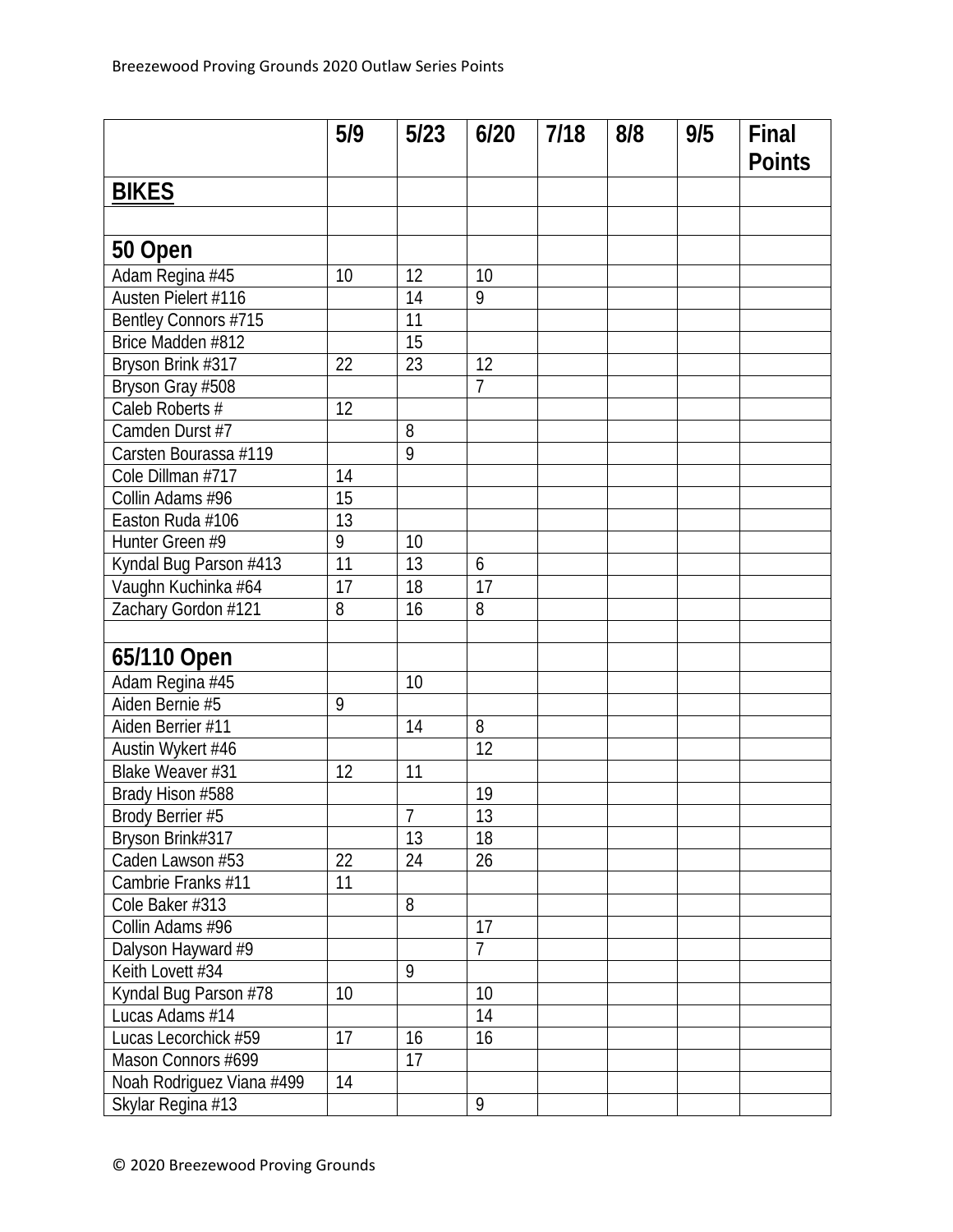|                           | 5/9             | 5/23            | 6/20            | 7/18 | 8/8 | 9/5 | Final         |
|---------------------------|-----------------|-----------------|-----------------|------|-----|-----|---------------|
|                           |                 |                 |                 |      |     |     | <b>Points</b> |
| <b>BIKES</b>              |                 |                 |                 |      |     |     |               |
|                           |                 |                 |                 |      |     |     |               |
| 50 Open                   |                 |                 |                 |      |     |     |               |
| Adam Regina #45           | 10              | 12              | 10              |      |     |     |               |
| Austen Pielert #116       |                 | 14              | 9               |      |     |     |               |
| Bentley Connors #715      |                 | $\overline{11}$ |                 |      |     |     |               |
| Brice Madden #812         |                 | 15              |                 |      |     |     |               |
| Bryson Brink #317         | 22              | 23              | 12              |      |     |     |               |
| Bryson Gray #508          |                 |                 | $\overline{1}$  |      |     |     |               |
| Caleb Roberts #           | 12              |                 |                 |      |     |     |               |
| Camden Durst #7           |                 | 8               |                 |      |     |     |               |
| Carsten Bourassa #119     |                 | $\overline{9}$  |                 |      |     |     |               |
| Cole Dillman #717         | 14              |                 |                 |      |     |     |               |
| Collin Adams #96          | 15              |                 |                 |      |     |     |               |
| Easton Ruda #106          | $\overline{13}$ |                 |                 |      |     |     |               |
| Hunter Green #9           | 9               | 10              |                 |      |     |     |               |
| Kyndal Bug Parson #413    | 11              | 13              | 6               |      |     |     |               |
| Vaughn Kuchinka #64       | 17              | 18              | 17              |      |     |     |               |
| Zachary Gordon #121       | 8               | 16              | 8               |      |     |     |               |
|                           |                 |                 |                 |      |     |     |               |
| 65/110 Open               |                 |                 |                 |      |     |     |               |
| Adam Regina #45           |                 | 10              |                 |      |     |     |               |
| Aiden Bernie #5           | 9               |                 |                 |      |     |     |               |
| Aiden Berrier #11         |                 | 14              | 8               |      |     |     |               |
| Austin Wykert #46         |                 |                 | $\overline{12}$ |      |     |     |               |
| Blake Weaver #31          | 12              | 11              |                 |      |     |     |               |
| Brady Hison #588          |                 |                 | 19              |      |     |     |               |
| Brody Berrier #5          |                 | $\overline{7}$  | 13              |      |     |     |               |
| Bryson Brink#317          |                 | 13              | 18              |      |     |     |               |
| Caden Lawson #53          | 22              | 24              | 26              |      |     |     |               |
| Cambrie Franks #11        | 11              |                 |                 |      |     |     |               |
| Cole Baker #313           |                 | 8               |                 |      |     |     |               |
| Collin Adams #96          |                 |                 | 17              |      |     |     |               |
| Dalyson Hayward #9        |                 |                 | $\overline{1}$  |      |     |     |               |
| Keith Lovett #34          |                 | 9               |                 |      |     |     |               |
| Kyndal Bug Parson #78     | 10              |                 | 10              |      |     |     |               |
| Lucas Adams #14           |                 |                 | 14              |      |     |     |               |
| Lucas Lecorchick #59      | 17              | 16              | 16              |      |     |     |               |
| Mason Connors #699        |                 | 17              |                 |      |     |     |               |
| Noah Rodriguez Viana #499 | 14              |                 |                 |      |     |     |               |
| Skylar Regina #13         |                 |                 | 9               |      |     |     |               |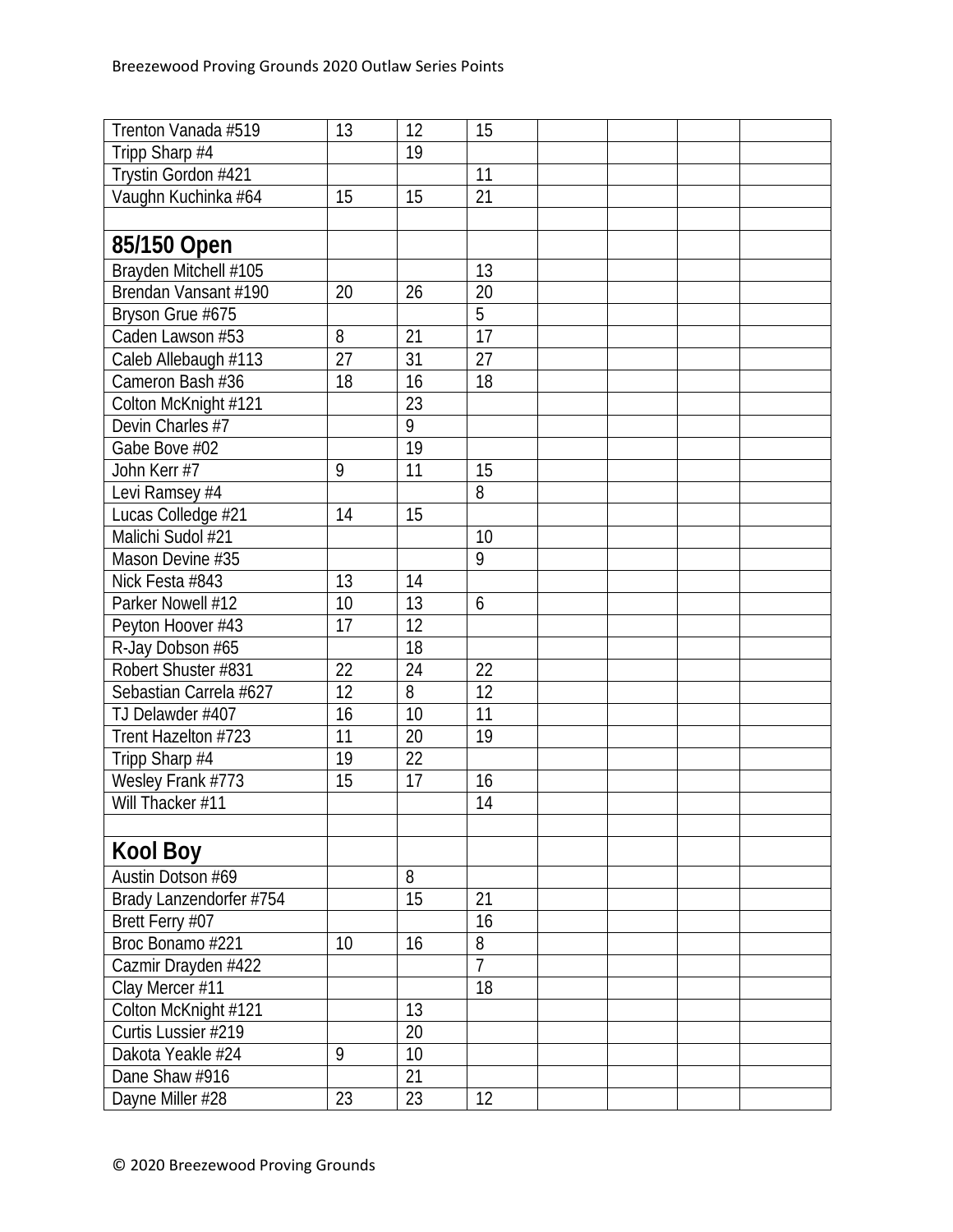| Trenton Vanada #519     | 13 | 12 | 15              |  |  |
|-------------------------|----|----|-----------------|--|--|
| Tripp Sharp #4          |    | 19 |                 |  |  |
| Trystin Gordon #421     |    |    | 11              |  |  |
| Vaughn Kuchinka #64     | 15 | 15 | 21              |  |  |
|                         |    |    |                 |  |  |
| 85/150 Open             |    |    |                 |  |  |
| Brayden Mitchell #105   |    |    | 13              |  |  |
| Brendan Vansant #190    | 20 | 26 | $\overline{20}$ |  |  |
| Bryson Grue #675        |    |    | $\overline{5}$  |  |  |
| Caden Lawson #53        | 8  | 21 | $\overline{17}$ |  |  |
| Caleb Allebaugh #113    | 27 | 31 | 27              |  |  |
| Cameron Bash #36        | 18 | 16 | 18              |  |  |
| Colton McKnight #121    |    | 23 |                 |  |  |
| Devin Charles #7        |    | 9  |                 |  |  |
| Gabe Bove #02           |    | 19 |                 |  |  |
| John Kerr #7            | 9  | 11 | 15              |  |  |
| Levi Ramsey #4          |    |    | 8               |  |  |
| Lucas Colledge #21      | 14 | 15 |                 |  |  |
| Malichi Sudol #21       |    |    | 10              |  |  |
| Mason Devine #35        |    |    | 9               |  |  |
| Nick Festa #843         | 13 | 14 |                 |  |  |
| Parker Nowell #12       | 10 | 13 | 6               |  |  |
| Peyton Hoover #43       | 17 | 12 |                 |  |  |
| R-Jay Dobson #65        |    | 18 |                 |  |  |
| Robert Shuster #831     | 22 | 24 | 22              |  |  |
| Sebastian Carrela #627  | 12 | 8  | 12              |  |  |
| TJ Delawder #407        | 16 | 10 | 11              |  |  |
| Trent Hazelton #723     | 11 | 20 | 19              |  |  |
| Tripp Sharp #4          | 19 | 22 |                 |  |  |
| Wesley Frank #773       | 15 | 17 | 16              |  |  |
| Will Thacker #11        |    |    | 14              |  |  |
|                         |    |    |                 |  |  |
| <b>Kool Boy</b>         |    |    |                 |  |  |
| Austin Dotson #69       |    | 8  |                 |  |  |
| Brady Lanzendorfer #754 |    | 15 | 21              |  |  |
| Brett Ferry #07         |    |    | 16              |  |  |
| Broc Bonamo #221        | 10 | 16 | 8               |  |  |
| Cazmir Drayden #422     |    |    | $\overline{7}$  |  |  |
| Clay Mercer #11         |    |    | 18              |  |  |
| Colton McKnight #121    |    | 13 |                 |  |  |
| Curtis Lussier #219     |    | 20 |                 |  |  |
| Dakota Yeakle #24       | 9  | 10 |                 |  |  |
| Dane Shaw #916          |    | 21 |                 |  |  |
| Dayne Miller #28        | 23 | 23 | 12              |  |  |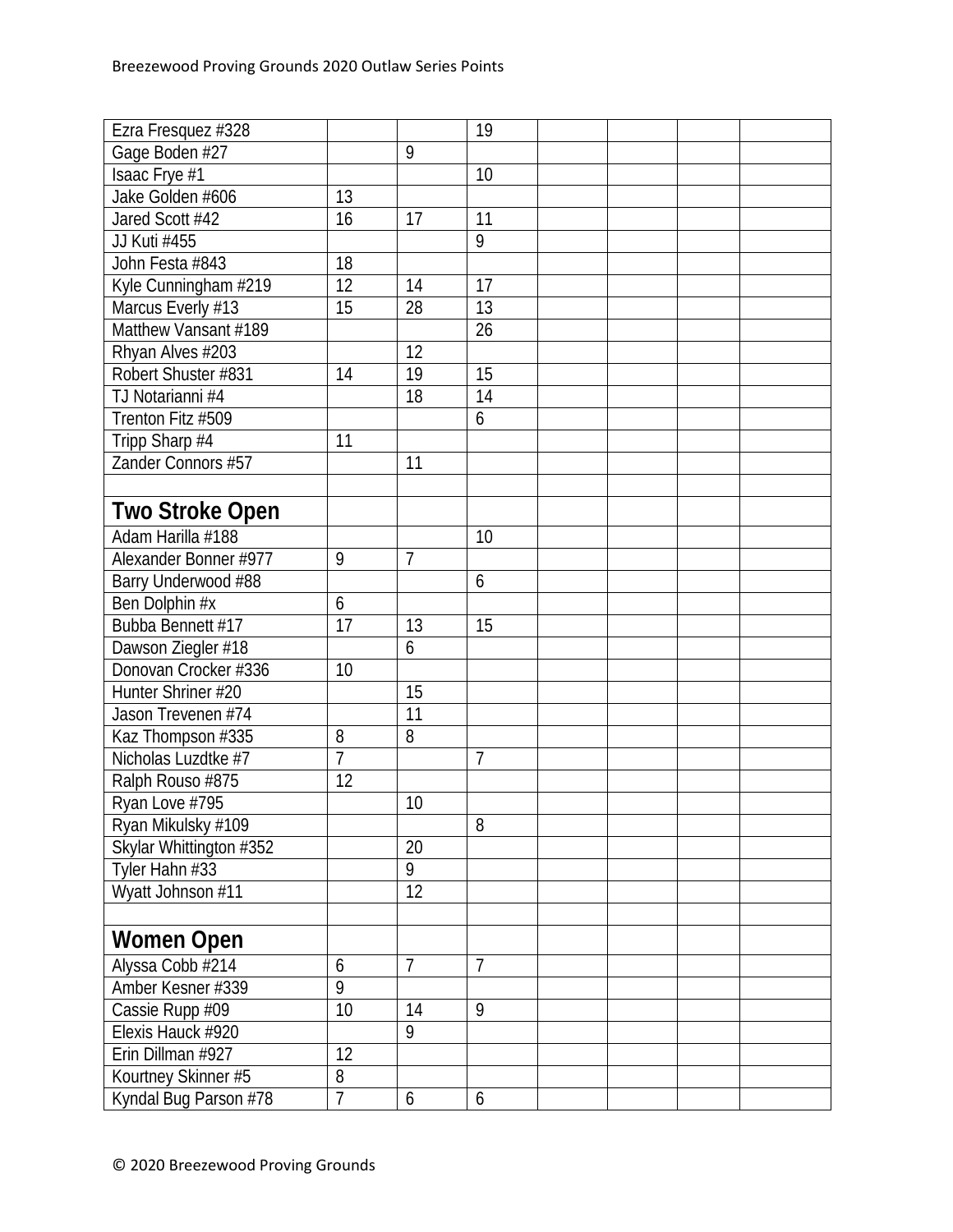| Ezra Fresquez #328      |                |                | 19             |  |  |
|-------------------------|----------------|----------------|----------------|--|--|
| Gage Boden #27          |                | 9              |                |  |  |
| Isaac Frye #1           |                |                | 10             |  |  |
| Jake Golden #606        | 13             |                |                |  |  |
| Jared Scott #42         | 16             | 17             | 11             |  |  |
| JJ Kuti #455            |                |                | 9              |  |  |
| John Festa #843         | 18             |                |                |  |  |
| Kyle Cunningham #219    | 12             | 14             | 17             |  |  |
| Marcus Everly #13       | 15             | 28             | 13             |  |  |
| Matthew Vansant #189    |                |                | 26             |  |  |
| Rhyan Alves #203        |                | 12             |                |  |  |
| Robert Shuster #831     | 14             | 19             | 15             |  |  |
| TJ Notarianni #4        |                | 18             | 14             |  |  |
| Trenton Fitz #509       |                |                | 6              |  |  |
| Tripp Sharp #4          | 11             |                |                |  |  |
| Zander Connors #57      |                | 11             |                |  |  |
|                         |                |                |                |  |  |
| <b>Two Stroke Open</b>  |                |                |                |  |  |
| Adam Harilla #188       |                |                | 10             |  |  |
| Alexander Bonner #977   | 9              | $\overline{7}$ |                |  |  |
| Barry Underwood #88     |                |                | 6              |  |  |
| Ben Dolphin #x          | 6              |                |                |  |  |
| Bubba Bennett #17       | 17             | 13             | 15             |  |  |
| Dawson Ziegler #18      |                | 6              |                |  |  |
| Donovan Crocker #336    | 10             |                |                |  |  |
| Hunter Shriner #20      |                | 15             |                |  |  |
| Jason Trevenen #74      |                | 11             |                |  |  |
| Kaz Thompson #335       | 8              | 8              |                |  |  |
| Nicholas Luzdtke #7     | $\overline{7}$ |                | $\overline{7}$ |  |  |
| Ralph Rouso #875        | 12             |                |                |  |  |
| Ryan Love #795          |                | 10             |                |  |  |
| Ryan Mikulsky #109      |                |                | 8              |  |  |
| Skylar Whittington #352 |                | 20             |                |  |  |
| Tyler Hahn #33          |                | 9              |                |  |  |
| Wyatt Johnson #11       |                | 12             |                |  |  |
|                         |                |                |                |  |  |
| Women Open              |                |                |                |  |  |
| Alyssa Cobb #214        | 6              | $\overline{7}$ | $\overline{7}$ |  |  |
| Amber Kesner #339       | $\overline{9}$ |                |                |  |  |
| Cassie Rupp #09         | 10             | 14             | 9              |  |  |
| Elexis Hauck #920       |                | $\overline{9}$ |                |  |  |
| Erin Dillman #927       | 12             |                |                |  |  |
| Kourtney Skinner #5     | 8              |                |                |  |  |
| Kyndal Bug Parson #78   | $\overline{1}$ | 6              | 6              |  |  |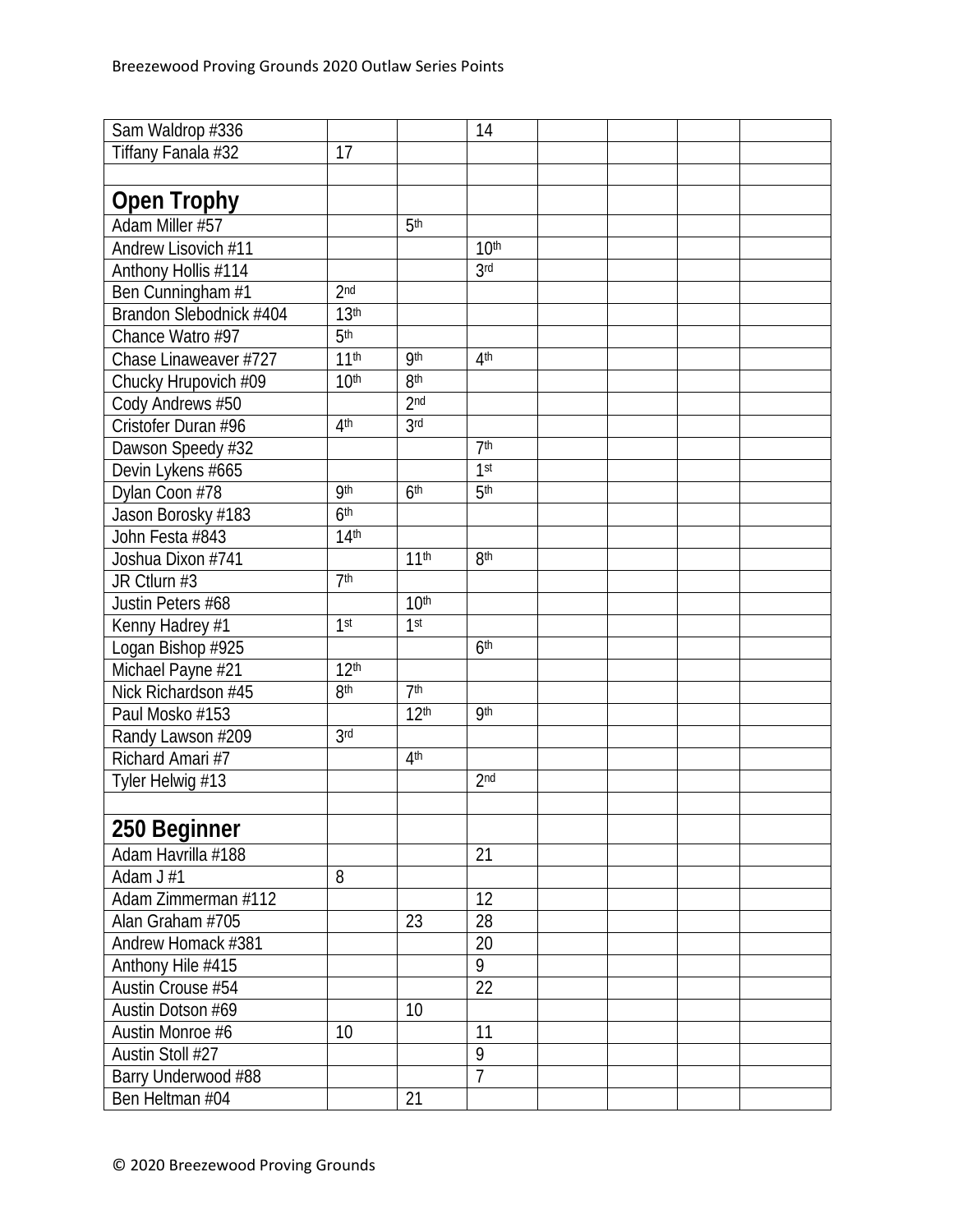| Sam Waldrop #336        |                  |                  | 14               |  |  |
|-------------------------|------------------|------------------|------------------|--|--|
| Tiffany Fanala #32      | 17               |                  |                  |  |  |
|                         |                  |                  |                  |  |  |
| <b>Open Trophy</b>      |                  |                  |                  |  |  |
| Adam Miller #57         |                  | 5 <sup>th</sup>  |                  |  |  |
| Andrew Lisovich #11     |                  |                  | 10 <sup>th</sup> |  |  |
| Anthony Hollis #114     |                  |                  | 3 <sub>rd</sub>  |  |  |
| Ben Cunningham #1       | 2 <sub>nd</sub>  |                  |                  |  |  |
| Brandon Slebodnick #404 | 13 <sup>th</sup> |                  |                  |  |  |
| Chance Watro #97        | 5 <sup>th</sup>  |                  |                  |  |  |
| Chase Linaweaver #727   | 11 <sup>th</sup> | <b>9th</b>       | 4th              |  |  |
| Chucky Hrupovich #09    | 10 <sup>th</sup> | 8 <sup>th</sup>  |                  |  |  |
| Cody Andrews #50        |                  | 2 <sub>nd</sub>  |                  |  |  |
| Cristofer Duran #96     | 4 <sup>th</sup>  | 3 <sub>rd</sub>  |                  |  |  |
| Dawson Speedy #32       |                  |                  | 7 <sup>th</sup>  |  |  |
| Devin Lykens #665       |                  |                  | 1 <sup>st</sup>  |  |  |
| Dylan Coon #78          | <b>9th</b>       | 6 <sup>th</sup>  | 5 <sup>th</sup>  |  |  |
| Jason Borosky #183      | 6 <sup>th</sup>  |                  |                  |  |  |
| John Festa #843         | 14 <sup>th</sup> |                  |                  |  |  |
| Joshua Dixon #741       |                  | 11 <sup>th</sup> | 8 <sup>th</sup>  |  |  |
| JR Ctlurn #3            | 7 <sup>th</sup>  |                  |                  |  |  |
| Justin Peters #68       |                  | 10 <sup>th</sup> |                  |  |  |
| Kenny Hadrey #1         | 1 <sup>st</sup>  | 1 <sup>st</sup>  |                  |  |  |
| Logan Bishop #925       |                  |                  | 6 <sup>th</sup>  |  |  |
| Michael Payne #21       | 12 <sup>th</sup> |                  |                  |  |  |
| Nick Richardson #45     | 8 <sup>th</sup>  | 7 <sup>th</sup>  |                  |  |  |
| Paul Mosko #153         |                  | 12 <sup>th</sup> | <b>9th</b>       |  |  |
| Randy Lawson #209       | 3 <sup>rd</sup>  |                  |                  |  |  |
| Richard Amari #7        |                  | 4 <sup>th</sup>  |                  |  |  |
| Tyler Helwig #13        |                  |                  | 2 <sub>nd</sub>  |  |  |
|                         |                  |                  |                  |  |  |
| 250 Beginner            |                  |                  |                  |  |  |
| Adam Havrilla #188      |                  |                  | 21               |  |  |
| Adam J #1               | 8                |                  |                  |  |  |
| Adam Zimmerman #112     |                  |                  | 12               |  |  |
| Alan Graham #705        |                  | 23               | 28               |  |  |
| Andrew Homack #381      |                  |                  | 20               |  |  |
| Anthony Hile #415       |                  |                  | 9                |  |  |
| Austin Crouse #54       |                  |                  | 22               |  |  |
| Austin Dotson #69       |                  | 10               |                  |  |  |
| Austin Monroe #6        | 10               |                  | 11               |  |  |
| Austin Stoll #27        |                  |                  | 9                |  |  |
| Barry Underwood #88     |                  |                  | $\overline{7}$   |  |  |
| Ben Heltman #04         |                  | 21               |                  |  |  |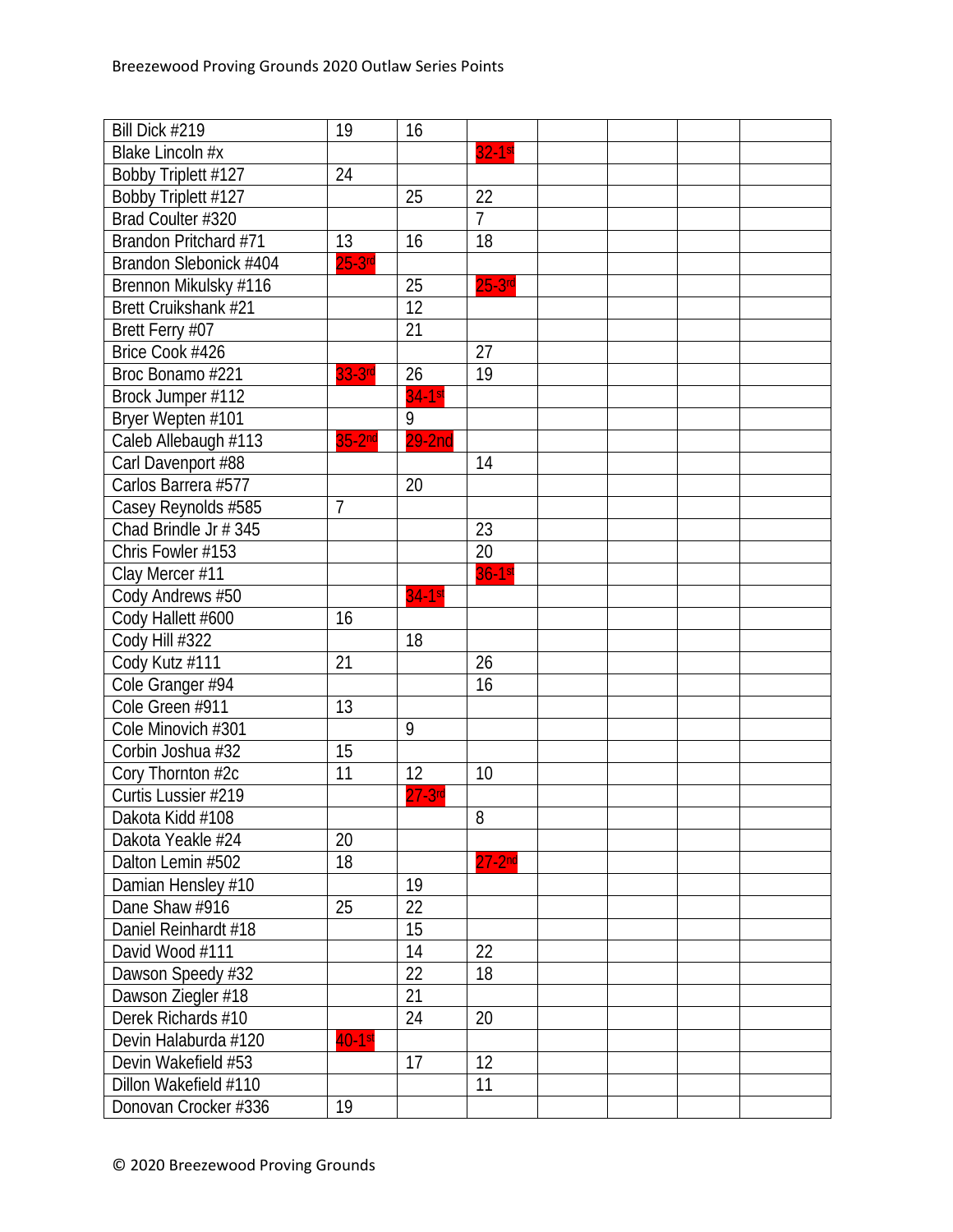| Bill Dick #219         | 19              | 16              |                 |  |  |
|------------------------|-----------------|-----------------|-----------------|--|--|
| Blake Lincoln #x       |                 |                 | 32-1st          |  |  |
| Bobby Triplett #127    | 24              |                 |                 |  |  |
| Bobby Triplett #127    |                 | 25              | 22              |  |  |
| Brad Coulter #320      |                 |                 | $\overline{7}$  |  |  |
| Brandon Pritchard #71  | 13              | 16              | 18              |  |  |
| Brandon Slebonick #404 | $25-3rd$        |                 |                 |  |  |
| Brennon Mikulsky #116  |                 | 25              | $25-3$ rd       |  |  |
| Brett Cruikshank #21   |                 | $\overline{12}$ |                 |  |  |
| Brett Ferry #07        |                 | 21              |                 |  |  |
| Brice Cook #426        |                 |                 | $\overline{27}$ |  |  |
| Broc Bonamo #221       | 33-3rd          | 26              | 19              |  |  |
| Brock Jumper #112      |                 | $34-1$ st       |                 |  |  |
| Bryer Wepten #101      |                 | 9               |                 |  |  |
| Caleb Allebaugh #113   | $35-2nd$        | $29-2nd$        |                 |  |  |
| Carl Davenport #88     |                 |                 | 14              |  |  |
| Carlos Barrera #577    |                 | 20              |                 |  |  |
| Casey Reynolds #585    | 7               |                 |                 |  |  |
| Chad Brindle Jr # 345  |                 |                 | 23              |  |  |
| Chris Fowler #153      |                 |                 | 20              |  |  |
| Clay Mercer #11        |                 |                 | $36-1st$        |  |  |
| Cody Andrews #50       |                 | $34-1st$        |                 |  |  |
| Cody Hallett #600      | 16              |                 |                 |  |  |
| Cody Hill #322         |                 | 18              |                 |  |  |
| Cody Kutz #111         | 21              |                 | 26              |  |  |
| Cole Granger #94       |                 |                 | 16              |  |  |
| Cole Green #911        | 13              |                 |                 |  |  |
| Cole Minovich #301     |                 | 9               |                 |  |  |
| Corbin Joshua #32      | 15              |                 |                 |  |  |
| Cory Thornton #2c      | $\overline{11}$ | 12              | 10              |  |  |
| Curtis Lussier #219    |                 | $27 - 3$ rd     |                 |  |  |
| Dakota Kidd #108       |                 |                 | 8               |  |  |
| Dakota Yeakle #24      | 20              |                 |                 |  |  |
| Dalton Lemin #502      | 18              |                 | $27-2nd$        |  |  |
| Damian Hensley #10     |                 | 19              |                 |  |  |
| Dane Shaw #916         | 25              | 22              |                 |  |  |
| Daniel Reinhardt #18   |                 | 15              |                 |  |  |
| David Wood #111        |                 | 14              | 22              |  |  |
| Dawson Speedy #32      |                 | 22              | 18              |  |  |
| Dawson Ziegler #18     |                 | 21              |                 |  |  |
| Derek Richards #10     |                 | 24              | 20              |  |  |
| Devin Halaburda #120   | $40-1$ st       |                 |                 |  |  |
| Devin Wakefield #53    |                 | 17              | 12              |  |  |
| Dillon Wakefield #110  |                 |                 | 11              |  |  |
| Donovan Crocker #336   | 19              |                 |                 |  |  |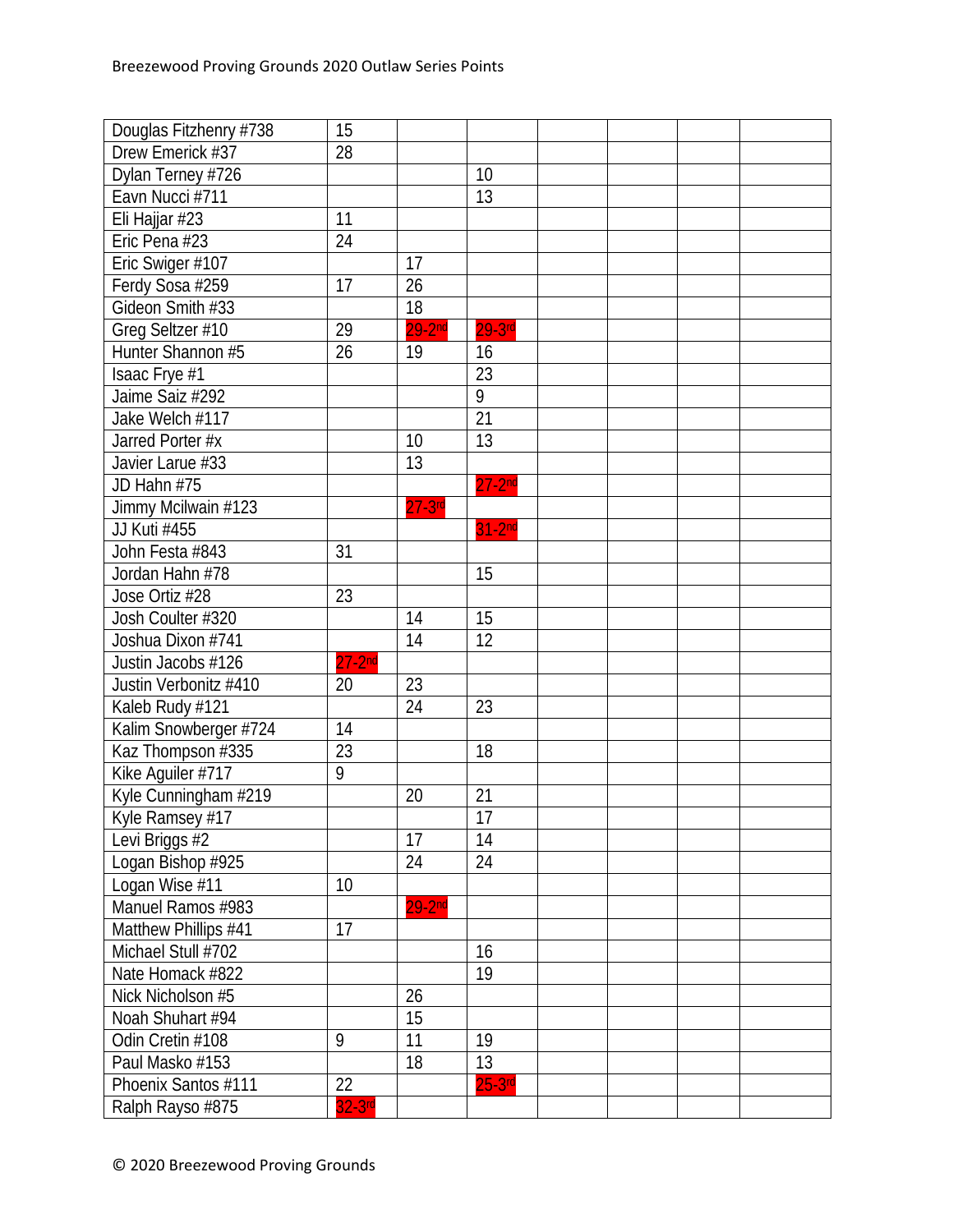| Douglas Fitzhenry #738 | 15             |           |                 |  |  |
|------------------------|----------------|-----------|-----------------|--|--|
| Drew Emerick #37       | 28             |           |                 |  |  |
| Dylan Terney #726      |                |           | 10              |  |  |
| Eavn Nucci #711        |                |           | 13              |  |  |
| Eli Hajjar #23         | 11             |           |                 |  |  |
| Eric Pena #23          | 24             |           |                 |  |  |
| Eric Swiger #107       |                | 17        |                 |  |  |
| Ferdy Sosa #259        | 17             | 26        |                 |  |  |
| Gideon Smith #33       |                | 18        |                 |  |  |
| Greg Seltzer #10       | 29             | $29-2nd$  | $29-3$ rd       |  |  |
| Hunter Shannon #5      | 26             | 19        | 16              |  |  |
| Isaac Frye #1          |                |           | 23              |  |  |
| Jaime Saiz #292        |                |           | 9               |  |  |
| Jake Welch #117        |                |           | 21              |  |  |
| Jarred Porter #x       |                | 10        | 13              |  |  |
| Javier Larue #33       |                | 13        |                 |  |  |
| JD Hahn #75            |                |           | $27-2nd$        |  |  |
| Jimmy Mcilwain #123    |                | $27-3$ rd |                 |  |  |
| JJ Kuti #455           |                |           | $31-2nd$        |  |  |
| John Festa #843        | 31             |           |                 |  |  |
| Jordan Hahn #78        |                |           | 15              |  |  |
| Jose Ortiz #28         | 23             |           |                 |  |  |
| Josh Coulter #320      |                | 14        | 15              |  |  |
| Joshua Dixon #741      |                | 14        | 12              |  |  |
| Justin Jacobs #126     | $27 - 2nd$     |           |                 |  |  |
| Justin Verbonitz #410  | 20             | 23        |                 |  |  |
| Kaleb Rudy #121        |                | 24        | 23              |  |  |
| Kalim Snowberger #724  | 14             |           |                 |  |  |
| Kaz Thompson #335      | 23             |           | 18              |  |  |
| Kike Aguiler #717      | $\overline{9}$ |           |                 |  |  |
| Kyle Cunningham #219   |                | 20        | 21              |  |  |
| Kyle Ramsey #17        |                |           | $\overline{17}$ |  |  |
| Levi Briggs #2         |                | 17        | 14              |  |  |
| Logan Bishop #925      |                | 24        | 24              |  |  |
| Logan Wise #11         | 10             |           |                 |  |  |
| Manuel Ramos #983      |                | $29-2nd$  |                 |  |  |
| Matthew Phillips #41   | 17             |           |                 |  |  |
| Michael Stull #702     |                |           | 16              |  |  |
| Nate Homack #822       |                |           | 19              |  |  |
| Nick Nicholson #5      |                | 26        |                 |  |  |
| Noah Shuhart #94       |                | 15        |                 |  |  |
| Odin Cretin #108       | 9              | 11        | 19              |  |  |
| Paul Masko #153        |                | 18        | 13              |  |  |
| Phoenix Santos #111    | 22             |           | $25 - 3$ rd     |  |  |
| Ralph Rayso #875       | $32-3rd$       |           |                 |  |  |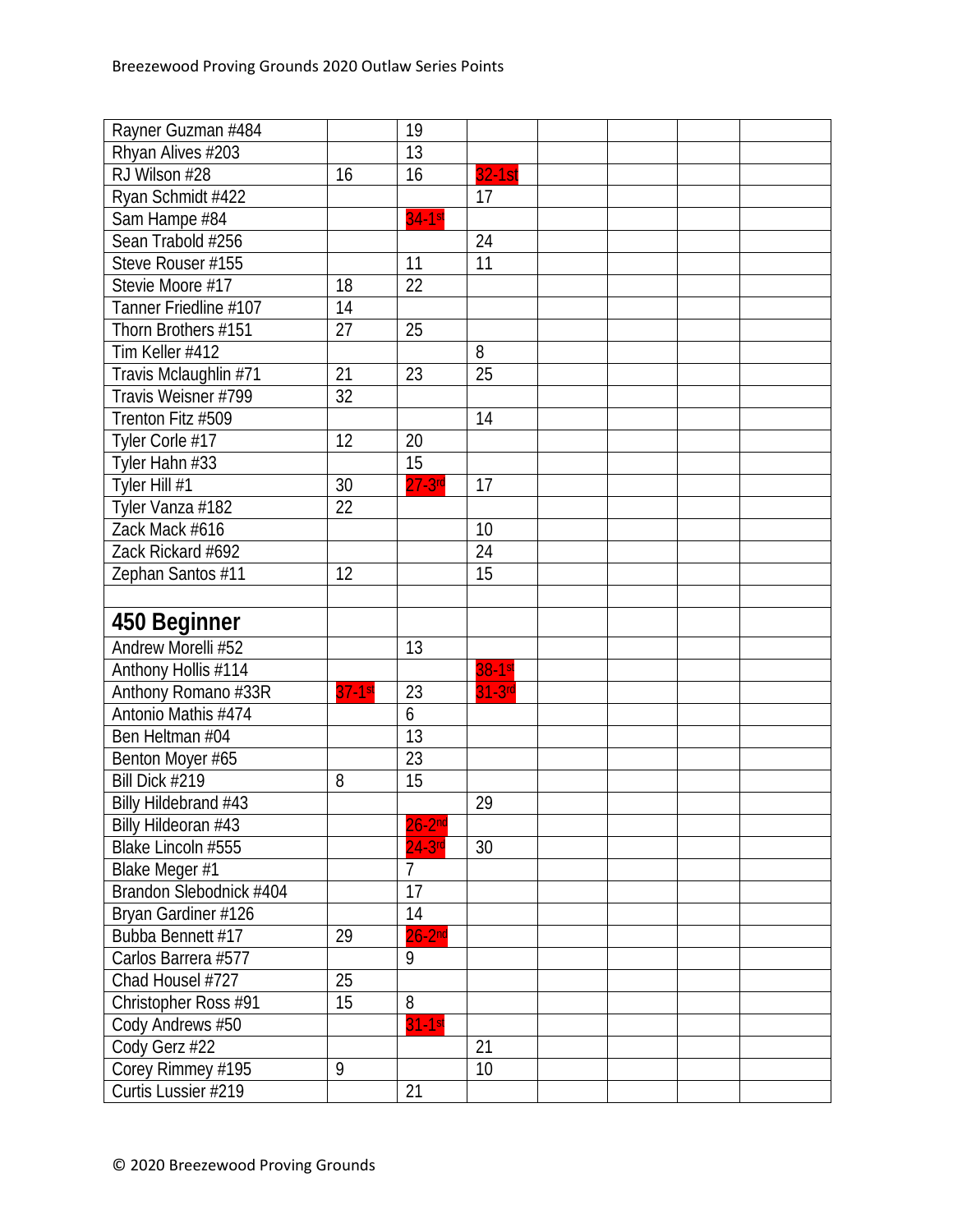| Rayner Guzman #484      |           | 19               |          |  |  |
|-------------------------|-----------|------------------|----------|--|--|
| Rhyan Alives #203       |           | 13               |          |  |  |
| RJ Wilson #28           | 16        | 16               | $32-1st$ |  |  |
| Ryan Schmidt #422       |           |                  | 17       |  |  |
| Sam Hampe #84           |           | $34-1st$         |          |  |  |
| Sean Trabold #256       |           |                  | 24       |  |  |
| Steve Rouser #155       |           | 11               | 11       |  |  |
| Stevie Moore #17        | 18        | 22               |          |  |  |
| Tanner Friedline #107   | 14        |                  |          |  |  |
| Thorn Brothers #151     | 27        | 25               |          |  |  |
| Tim Keller #412         |           |                  | 8        |  |  |
| Travis Mclaughlin #71   | 21        | 23               | 25       |  |  |
| Travis Weisner #799     | 32        |                  |          |  |  |
| Trenton Fitz #509       |           |                  | 14       |  |  |
| Tyler Corle #17         | 12        | 20               |          |  |  |
| Tyler Hahn #33          |           | 15               |          |  |  |
| Tyler Hill #1           | 30        | $27 - 3$ rd      | 17       |  |  |
| Tyler Vanza #182        | 22        |                  |          |  |  |
| Zack Mack #616          |           |                  | 10       |  |  |
| Zack Rickard #692       |           |                  | 24       |  |  |
| Zephan Santos #11       | 12        |                  | 15       |  |  |
|                         |           |                  |          |  |  |
| 450 Beginner            |           |                  |          |  |  |
| Andrew Morelli #52      |           | 13               |          |  |  |
| Anthony Hollis #114     |           |                  | $38-1st$ |  |  |
| Anthony Romano #33R     | $37-1$ st | 23               | $31-3rd$ |  |  |
| Antonio Mathis #474     |           | $\boldsymbol{6}$ |          |  |  |
| Ben Heltman #04         |           | 13               |          |  |  |
| Benton Moyer #65        |           | 23               |          |  |  |
| Bill Dick #219          | 8         | 15               |          |  |  |
| Billy Hildebrand #43    |           |                  | 29       |  |  |
| Billy Hildeoran #43     |           | $26 - 2nd$       |          |  |  |
| Blake Lincoln #555      |           | $24-3$ rd        | 30       |  |  |
| Blake Meger #1          |           | $\overline{7}$   |          |  |  |
| Brandon Slebodnick #404 |           | 17               |          |  |  |
| Bryan Gardiner #126     |           | 14               |          |  |  |
| Bubba Bennett #17       | 29        | $26 - 2nd$       |          |  |  |
| Carlos Barrera #577     |           | 9                |          |  |  |
| Chad Housel #727        | 25        |                  |          |  |  |
| Christopher Ross #91    | 15        | 8                |          |  |  |
| Cody Andrews #50        |           | $31-1st$         |          |  |  |
| Cody Gerz #22           |           |                  | 21       |  |  |
| Corey Rimmey #195       | 9         |                  | 10       |  |  |
| Curtis Lussier #219     |           | 21               |          |  |  |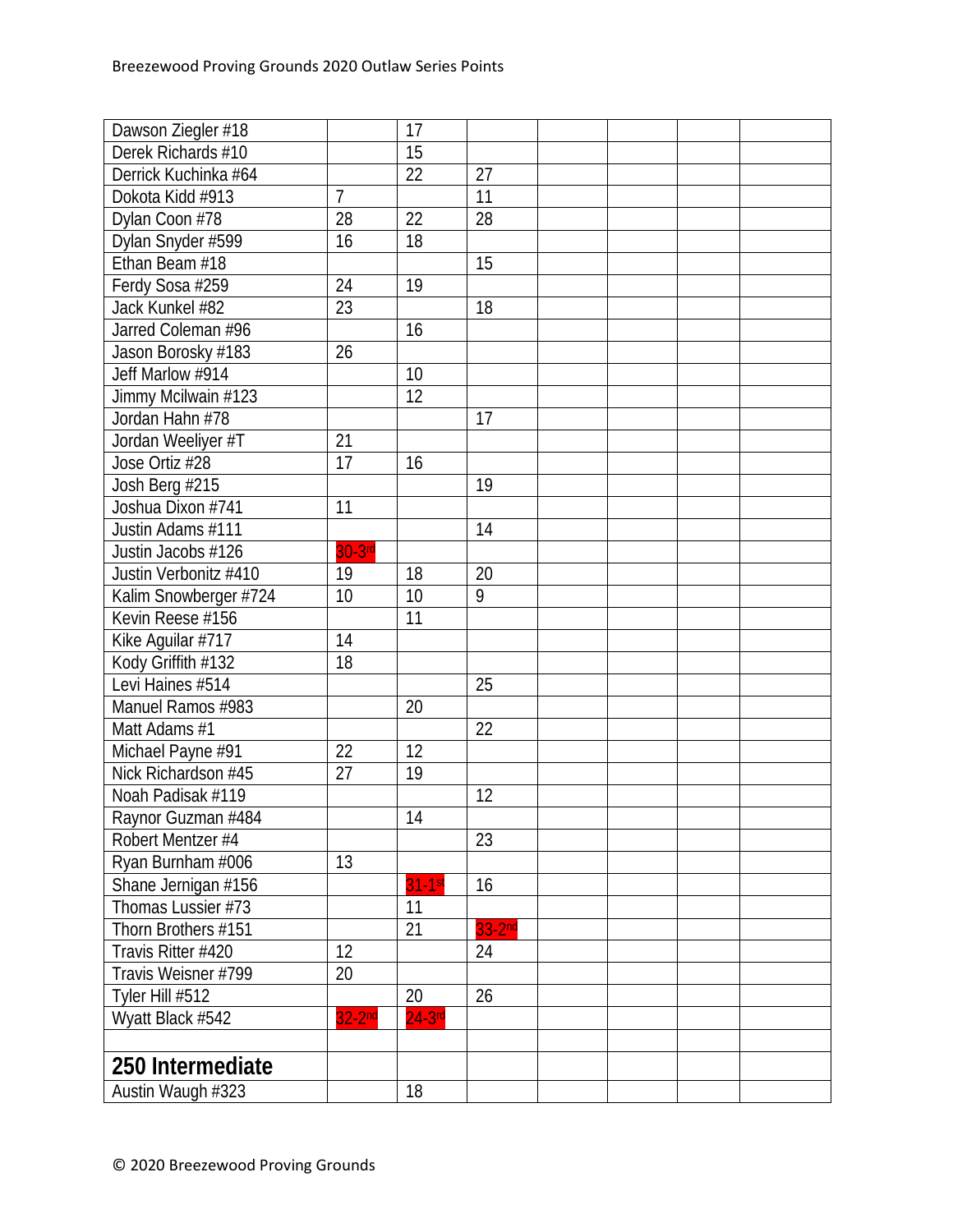| Dawson Ziegler #18    |           | 17        |          |  |  |
|-----------------------|-----------|-----------|----------|--|--|
| Derek Richards #10    |           | 15        |          |  |  |
| Derrick Kuchinka #64  |           | 22        | 27       |  |  |
| Dokota Kidd #913      | 7         |           | 11       |  |  |
| Dylan Coon #78        | 28        | 22        | 28       |  |  |
| Dylan Snyder #599     | 16        | 18        |          |  |  |
| Ethan Beam #18        |           |           | 15       |  |  |
| Ferdy Sosa #259       | 24        | 19        |          |  |  |
| Jack Kunkel #82       | 23        |           | 18       |  |  |
| Jarred Coleman #96    |           | 16        |          |  |  |
| Jason Borosky #183    | 26        |           |          |  |  |
| Jeff Marlow #914      |           | 10        |          |  |  |
| Jimmy Mcilwain #123   |           | 12        |          |  |  |
| Jordan Hahn #78       |           |           | 17       |  |  |
| Jordan Weeliyer #T    | 21        |           |          |  |  |
| Jose Ortiz #28        | 17        | 16        |          |  |  |
| Josh Berg #215        |           |           | 19       |  |  |
| Joshua Dixon #741     | 11        |           |          |  |  |
| Justin Adams #111     |           |           | 14       |  |  |
| Justin Jacobs #126    | $30-3$ rd |           |          |  |  |
| Justin Verbonitz #410 | 19        | 18        | 20       |  |  |
| Kalim Snowberger #724 | 10        | 10        | 9        |  |  |
| Kevin Reese #156      |           | 11        |          |  |  |
| Kike Aguilar #717     | 14        |           |          |  |  |
| Kody Griffith #132    | 18        |           |          |  |  |
| Levi Haines #514      |           |           | 25       |  |  |
| Manuel Ramos #983     |           | 20        |          |  |  |
| Matt Adams #1         |           |           | 22       |  |  |
| Michael Payne #91     | 22        | 12        |          |  |  |
| Nick Richardson #45   | 27        | 19        |          |  |  |
| Noah Padisak #119     |           |           | 12       |  |  |
| Raynor Guzman #484    |           | 14        |          |  |  |
| Robert Mentzer #4     |           |           | 23       |  |  |
| Ryan Burnham #006     | 13        |           |          |  |  |
| Shane Jernigan #156   |           | $31-1st$  | 16       |  |  |
| Thomas Lussier #73    |           | 11        |          |  |  |
| Thorn Brothers #151   |           | 21        | $33-2nd$ |  |  |
| Travis Ritter #420    | 12        |           | 24       |  |  |
| Travis Weisner #799   | 20        |           |          |  |  |
| Tyler Hill #512       |           | 20        | 26       |  |  |
| Wyatt Black #542      | $32-2nd$  | $24-3$ rd |          |  |  |
|                       |           |           |          |  |  |
| 250 Intermediate      |           |           |          |  |  |
| Austin Waugh #323     |           | 18        |          |  |  |
|                       |           |           |          |  |  |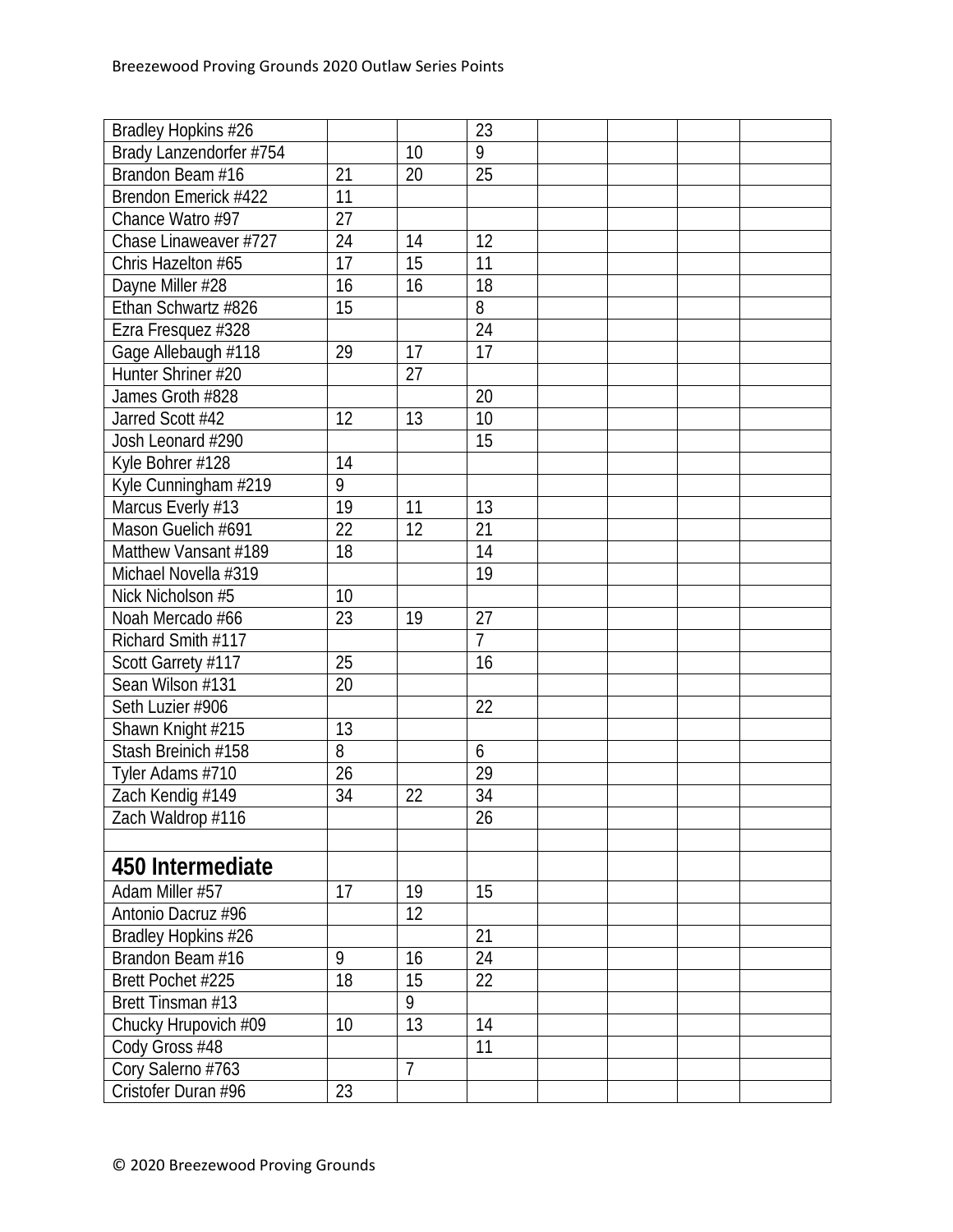| Bradley Hopkins #26     |    |                 | 23              |  |  |
|-------------------------|----|-----------------|-----------------|--|--|
| Brady Lanzendorfer #754 |    | 10              | 9               |  |  |
| Brandon Beam #16        | 21 | 20              | 25              |  |  |
| Brendon Emerick #422    | 11 |                 |                 |  |  |
| Chance Watro #97        | 27 |                 |                 |  |  |
| Chase Linaweaver #727   | 24 | 14              | 12              |  |  |
| Chris Hazelton #65      | 17 | $\overline{15}$ | 11              |  |  |
| Dayne Miller #28        | 16 | 16              | 18              |  |  |
| Ethan Schwartz #826     | 15 |                 | 8               |  |  |
| Ezra Fresquez #328      |    |                 | $\overline{24}$ |  |  |
| Gage Allebaugh #118     | 29 | 17              | 17              |  |  |
| Hunter Shriner #20      |    | 27              |                 |  |  |
| James Groth #828        |    |                 | 20              |  |  |
| Jarred Scott #42        | 12 | 13              | 10              |  |  |
| Josh Leonard #290       |    |                 | 15              |  |  |
| Kyle Bohrer #128        | 14 |                 |                 |  |  |
| Kyle Cunningham #219    | 9  |                 |                 |  |  |
| Marcus Everly #13       | 19 | 11              | 13              |  |  |
| Mason Guelich #691      | 22 | 12              | 21              |  |  |
| Matthew Vansant #189    | 18 |                 | 14              |  |  |
| Michael Novella #319    |    |                 | 19              |  |  |
| Nick Nicholson #5       | 10 |                 |                 |  |  |
| Noah Mercado #66        | 23 | 19              | 27              |  |  |
| Richard Smith #117      |    |                 | $\overline{1}$  |  |  |
| Scott Garrety #117      | 25 |                 | 16              |  |  |
| Sean Wilson #131        | 20 |                 |                 |  |  |
| Seth Luzier #906        |    |                 | 22              |  |  |
| Shawn Knight #215       | 13 |                 |                 |  |  |
| Stash Breinich #158     | 8  |                 | 6               |  |  |
| Tyler Adams #710        | 26 |                 | 29              |  |  |
| Zach Kendig #149        | 34 | 22              | $\overline{34}$ |  |  |
| Zach Waldrop #116       |    |                 | $\overline{26}$ |  |  |
|                         |    |                 |                 |  |  |
| 450 Intermediate        |    |                 |                 |  |  |
| Adam Miller #57         | 17 | 19              | 15              |  |  |
| Antonio Dacruz #96      |    | 12              |                 |  |  |
| Bradley Hopkins #26     |    |                 | 21              |  |  |
| Brandon Beam #16        | 9  | 16              | 24              |  |  |
| Brett Pochet #225       | 18 | 15              | 22              |  |  |
| Brett Tinsman #13       |    | 9               |                 |  |  |
| Chucky Hrupovich #09    | 10 | 13              | 14              |  |  |
| Cody Gross #48          |    |                 | 11              |  |  |
| Cory Salerno #763       |    | $\overline{7}$  |                 |  |  |
| Cristofer Duran #96     | 23 |                 |                 |  |  |
|                         |    |                 |                 |  |  |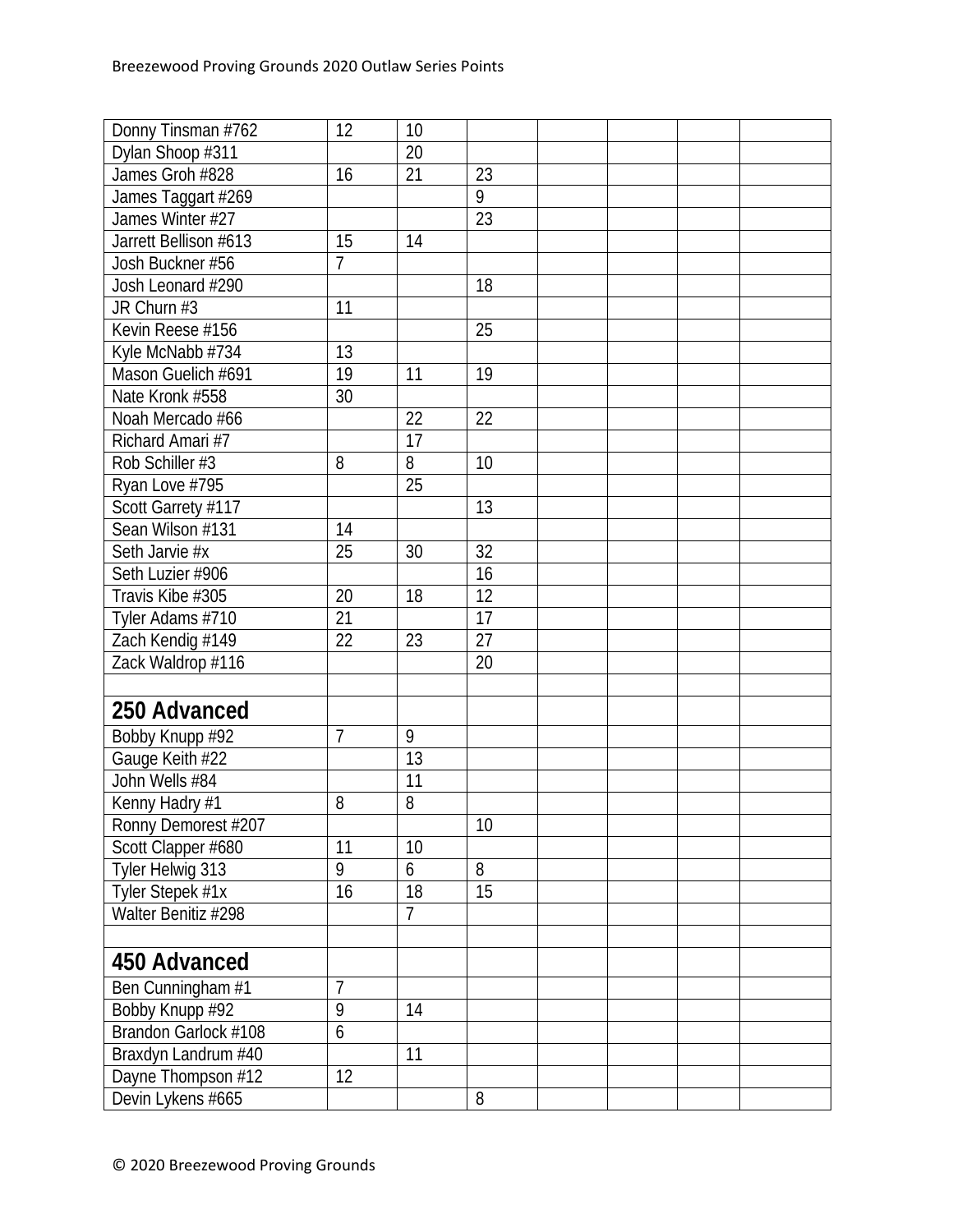| Donny Tinsman #762    | 12             | 10             |    |  |  |
|-----------------------|----------------|----------------|----|--|--|
| Dylan Shoop #311      |                | 20             |    |  |  |
| James Groh #828       | 16             | 21             | 23 |  |  |
| James Taggart #269    |                |                | 9  |  |  |
| James Winter #27      |                |                | 23 |  |  |
| Jarrett Bellison #613 | 15             | 14             |    |  |  |
| Josh Buckner #56      | $\overline{7}$ |                |    |  |  |
| Josh Leonard #290     |                |                | 18 |  |  |
| JR Churn #3           | 11             |                |    |  |  |
| Kevin Reese #156      |                |                | 25 |  |  |
| Kyle McNabb #734      | 13             |                |    |  |  |
| Mason Guelich #691    | 19             | 11             | 19 |  |  |
| Nate Kronk #558       | 30             |                |    |  |  |
| Noah Mercado #66      |                | 22             | 22 |  |  |
| Richard Amari #7      |                | 17             |    |  |  |
| Rob Schiller #3       | 8              | 8              | 10 |  |  |
| Ryan Love #795        |                | 25             |    |  |  |
| Scott Garrety #117    |                |                | 13 |  |  |
| Sean Wilson #131      | 14             |                |    |  |  |
| Seth Jarvie #x        | 25             | 30             | 32 |  |  |
| Seth Luzier #906      |                |                | 16 |  |  |
| Travis Kibe #305      | 20             | 18             | 12 |  |  |
| Tyler Adams #710      | 21             |                | 17 |  |  |
| Zach Kendig #149      | 22             | 23             | 27 |  |  |
| Zack Waldrop #116     |                |                | 20 |  |  |
|                       |                |                |    |  |  |
| 250 Advanced          |                |                |    |  |  |
| Bobby Knupp #92       | 7              | 9              |    |  |  |
| Gauge Keith #22       |                | 13             |    |  |  |
| John Wells #84        |                | 11             |    |  |  |
| Kenny Hadry #1        | 8              | 8              |    |  |  |
| Ronny Demorest #207   |                |                | 10 |  |  |
| Scott Clapper #680    | 11             | 10             |    |  |  |
| Tyler Helwig 313      | 9              | 6              | 8  |  |  |
| Tyler Stepek #1x      | 16             | 18             | 15 |  |  |
| Walter Benitiz #298   |                | $\overline{7}$ |    |  |  |
|                       |                |                |    |  |  |
| 450 Advanced          |                |                |    |  |  |
| Ben Cunningham #1     | 7              |                |    |  |  |
| Bobby Knupp #92       | 9              | 14             |    |  |  |
| Brandon Garlock #108  | $\overline{6}$ |                |    |  |  |
| Braxdyn Landrum #40   |                | 11             |    |  |  |
| Dayne Thompson #12    | 12             |                |    |  |  |
| Devin Lykens #665     |                |                | 8  |  |  |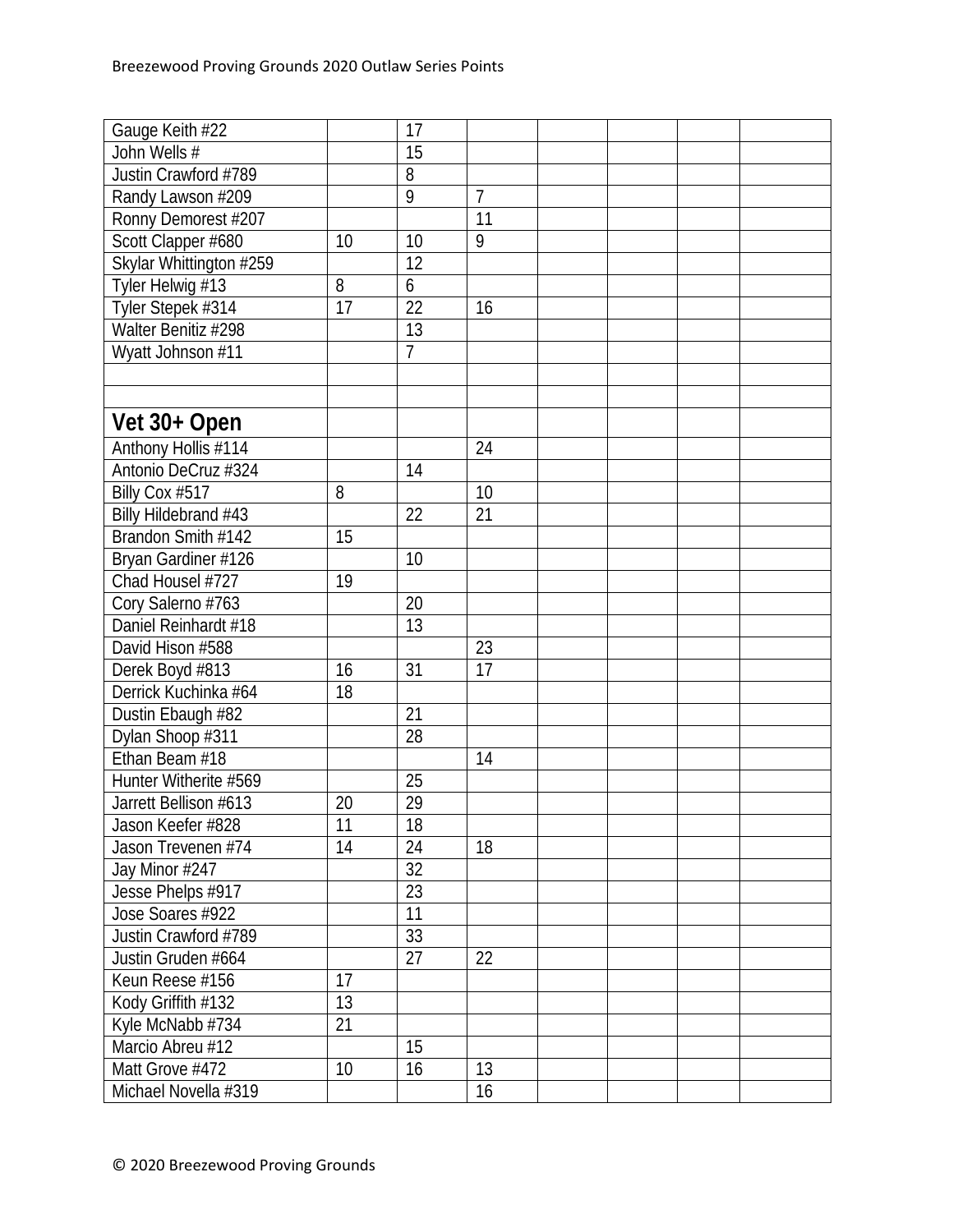| Gauge Keith #22         |    | 17               |    |  |  |
|-------------------------|----|------------------|----|--|--|
| John Wells #            |    | $\overline{15}$  |    |  |  |
| Justin Crawford #789    |    | 8                |    |  |  |
| Randy Lawson #209       |    | $\overline{9}$   | 7  |  |  |
| Ronny Demorest #207     |    |                  | 11 |  |  |
| Scott Clapper #680      | 10 | 10               | 9  |  |  |
| Skylar Whittington #259 |    | 12               |    |  |  |
| Tyler Helwig #13        | 8  | $\boldsymbol{6}$ |    |  |  |
| Tyler Stepek #314       | 17 | 22               | 16 |  |  |
| Walter Benitiz #298     |    | 13               |    |  |  |
| Wyatt Johnson #11       |    | $\overline{1}$   |    |  |  |
|                         |    |                  |    |  |  |
|                         |    |                  |    |  |  |
| Vet 30+ Open            |    |                  |    |  |  |
| Anthony Hollis #114     |    |                  | 24 |  |  |
| Antonio DeCruz #324     |    | 14               |    |  |  |
| Billy Cox #517          | 8  |                  | 10 |  |  |
| Billy Hildebrand #43    |    | 22               | 21 |  |  |
| Brandon Smith #142      | 15 |                  |    |  |  |
| Bryan Gardiner #126     |    | 10               |    |  |  |
| Chad Housel #727        | 19 |                  |    |  |  |
| Cory Salerno #763       |    | 20               |    |  |  |
| Daniel Reinhardt #18    |    | 13               |    |  |  |
| David Hison #588        |    |                  | 23 |  |  |
| Derek Boyd #813         | 16 | 31               | 17 |  |  |
| Derrick Kuchinka #64    | 18 |                  |    |  |  |
| Dustin Ebaugh #82       |    | 21               |    |  |  |
| Dylan Shoop #311        |    | 28               |    |  |  |
| Ethan Beam #18          |    |                  | 14 |  |  |
| Hunter Witherite #569   |    | 25               |    |  |  |
| Jarrett Bellison #613   | 20 | 29               |    |  |  |
| Jason Keefer #828       | 11 | 18               |    |  |  |
| Jason Trevenen #74      | 14 | 24               | 18 |  |  |
| Jay Minor #247          |    | 32               |    |  |  |
| Jesse Phelps #917       |    | $\overline{23}$  |    |  |  |
| Jose Soares #922        |    | 11               |    |  |  |
| Justin Crawford #789    |    | 33               |    |  |  |
| Justin Gruden #664      |    | 27               | 22 |  |  |
| Keun Reese #156         | 17 |                  |    |  |  |
| Kody Griffith #132      | 13 |                  |    |  |  |
| Kyle McNabb #734        | 21 |                  |    |  |  |
| Marcio Abreu #12        |    | 15               |    |  |  |
| Matt Grove #472         | 10 | 16               | 13 |  |  |
| Michael Novella #319    |    |                  | 16 |  |  |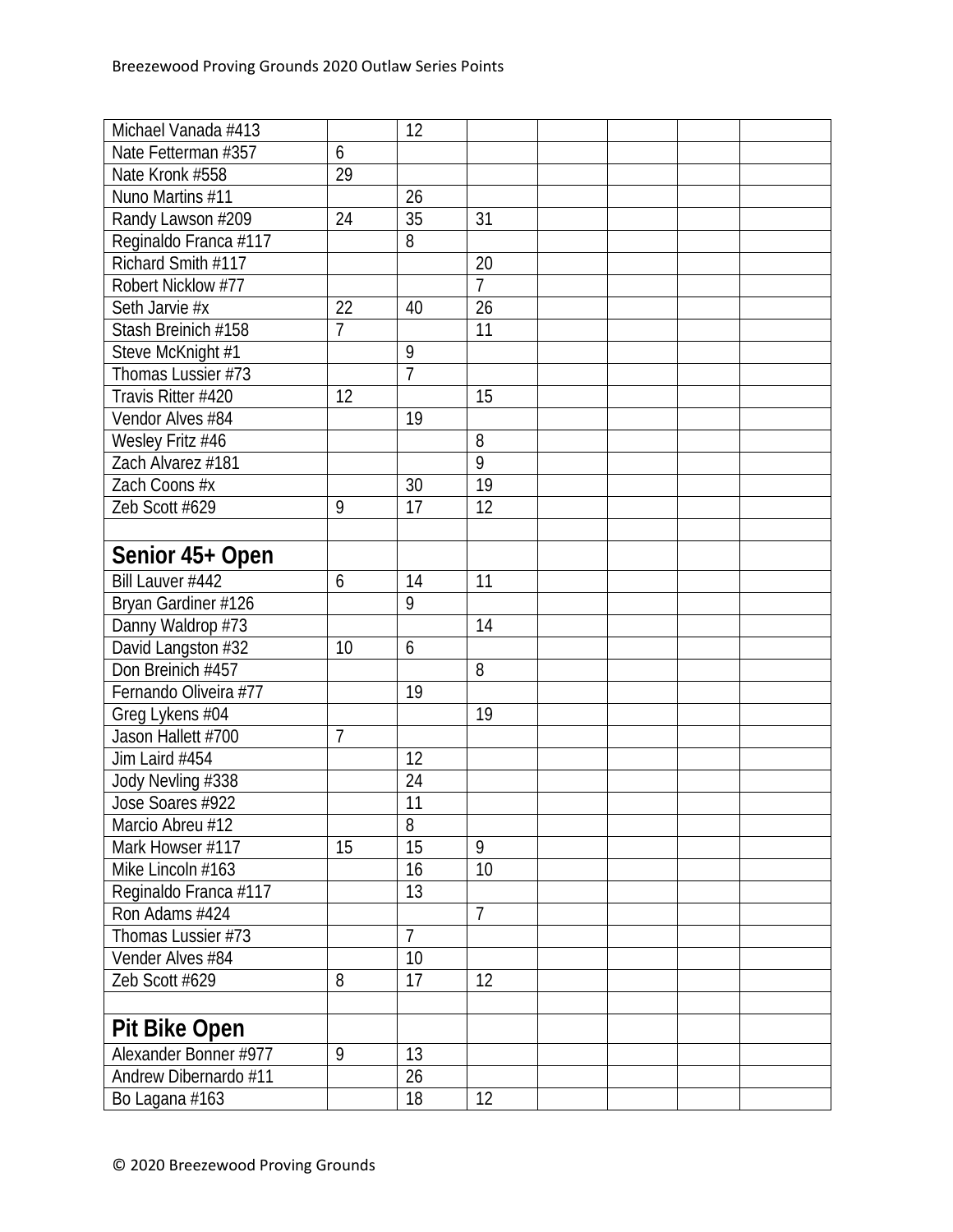| Michael Vanada #413   |                | 12             |                |  |  |
|-----------------------|----------------|----------------|----------------|--|--|
| Nate Fetterman #357   | 6              |                |                |  |  |
| Nate Kronk #558       | 29             |                |                |  |  |
| Nuno Martins #11      |                | 26             |                |  |  |
| Randy Lawson #209     | 24             | 35             | 31             |  |  |
| Reginaldo Franca #117 |                | 8              |                |  |  |
| Richard Smith #117    |                |                | 20             |  |  |
| Robert Nicklow #77    |                |                | $\overline{7}$ |  |  |
| Seth Jarvie #x        | 22             | 40             | 26             |  |  |
| Stash Breinich #158   | $\overline{7}$ |                | 11             |  |  |
| Steve McKnight #1     |                | $\overline{9}$ |                |  |  |
| Thomas Lussier #73    |                | $\overline{7}$ |                |  |  |
| Travis Ritter #420    | 12             |                | 15             |  |  |
| Vendor Alves #84      |                | 19             |                |  |  |
| Wesley Fritz #46      |                |                | 8              |  |  |
| Zach Alvarez #181     |                |                | $\overline{9}$ |  |  |
| Zach Coons #x         |                | 30             | 19             |  |  |
| Zeb Scott #629        | 9              | 17             | 12             |  |  |
|                       |                |                |                |  |  |
| Senior 45+ Open       |                |                |                |  |  |
| Bill Lauver #442      | 6              | 14             | 11             |  |  |
| Bryan Gardiner #126   |                | 9              |                |  |  |
| Danny Waldrop #73     |                |                | 14             |  |  |
| David Langston #32    | 10             | 6              |                |  |  |
| Don Breinich #457     |                |                | 8              |  |  |
| Fernando Oliveira #77 |                | 19             |                |  |  |
| Greg Lykens #04       |                |                | 19             |  |  |
| Jason Hallett #700    | $\overline{1}$ |                |                |  |  |
| Jim Laird #454        |                | 12             |                |  |  |
| Jody Nevling #338     |                | 24             |                |  |  |
| Jose Soares #922      |                | 11             |                |  |  |
| Marcio Abreu #12      |                | 8              |                |  |  |
| Mark Howser #117      | 15             | 15             | 9              |  |  |
| Mike Lincoln #163     |                | 16             | 10             |  |  |
| Reginaldo Franca #117 |                | 13             |                |  |  |
| Ron Adams #424        |                |                | $\overline{1}$ |  |  |
| Thomas Lussier #73    |                | $\overline{7}$ |                |  |  |
| Vender Alves #84      |                | 10             |                |  |  |
| Zeb Scott #629        | 8              | 17             | 12             |  |  |
|                       |                |                |                |  |  |
| <b>Pit Bike Open</b>  |                |                |                |  |  |
| Alexander Bonner #977 | 9              | 13             |                |  |  |
| Andrew Dibernardo #11 |                | 26             |                |  |  |
| Bo Lagana #163        |                | 18             | 12             |  |  |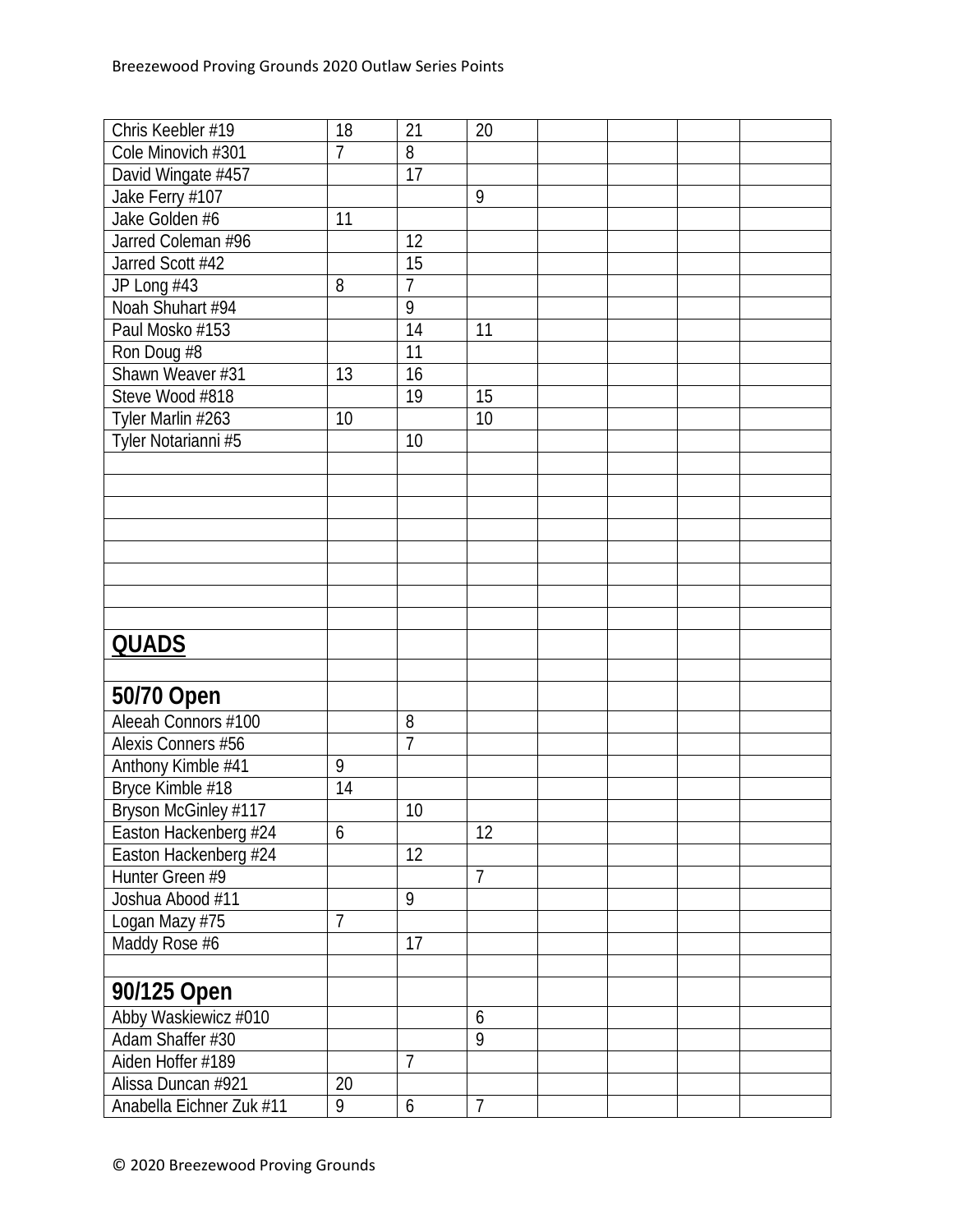| Chris Keebler #19        | 18             | 21              | 20             |  |  |
|--------------------------|----------------|-----------------|----------------|--|--|
| Cole Minovich #301       | 7              | 8               |                |  |  |
| David Wingate #457       |                | 17              |                |  |  |
| Jake Ferry #107          |                |                 | 9              |  |  |
| Jake Golden #6           | 11             |                 |                |  |  |
| Jarred Coleman #96       |                | 12              |                |  |  |
| Jarred Scott #42         |                | 15              |                |  |  |
| JP Long #43              | 8              | $\overline{1}$  |                |  |  |
| Noah Shuhart #94         |                | $\overline{9}$  |                |  |  |
| Paul Mosko #153          |                | 14              | 11             |  |  |
| Ron Doug #8              |                | $\overline{11}$ |                |  |  |
| Shawn Weaver #31         | 13             | 16              |                |  |  |
| Steve Wood #818          |                | 19              | 15             |  |  |
| Tyler Marlin #263        | 10             |                 | 10             |  |  |
| Tyler Notarianni #5      |                | 10              |                |  |  |
|                          |                |                 |                |  |  |
|                          |                |                 |                |  |  |
|                          |                |                 |                |  |  |
|                          |                |                 |                |  |  |
|                          |                |                 |                |  |  |
|                          |                |                 |                |  |  |
|                          |                |                 |                |  |  |
|                          |                |                 |                |  |  |
| <b>QUADS</b>             |                |                 |                |  |  |
|                          |                |                 |                |  |  |
|                          |                |                 |                |  |  |
| 50/70 Open               |                |                 |                |  |  |
| Aleeah Connors #100      |                | 8               |                |  |  |
| Alexis Conners #56       |                | $\overline{7}$  |                |  |  |
| Anthony Kimble #41       | 9              |                 |                |  |  |
| Bryce Kimble #18         | 14             |                 |                |  |  |
| Bryson McGinley #117     |                | 10              |                |  |  |
| Easton Hackenberg #24    | 6              |                 | 12             |  |  |
| Easton Hackenberg #24    |                | 12              |                |  |  |
| Hunter Green #9          |                |                 | $\overline{7}$ |  |  |
| Joshua Abood #11         |                | 9               |                |  |  |
| Logan Mazy #75           | $\overline{1}$ |                 |                |  |  |
| Maddy Rose #6            |                | 17              |                |  |  |
|                          |                |                 |                |  |  |
| 90/125 Open              |                |                 |                |  |  |
| Abby Waskiewicz #010     |                |                 | 6              |  |  |
| Adam Shaffer #30         |                |                 | 9              |  |  |
| Aiden Hoffer #189        |                | $\overline{7}$  |                |  |  |
| Alissa Duncan #921       | 20             |                 |                |  |  |
| Anabella Eichner Zuk #11 | 9              | 6               | $\overline{7}$ |  |  |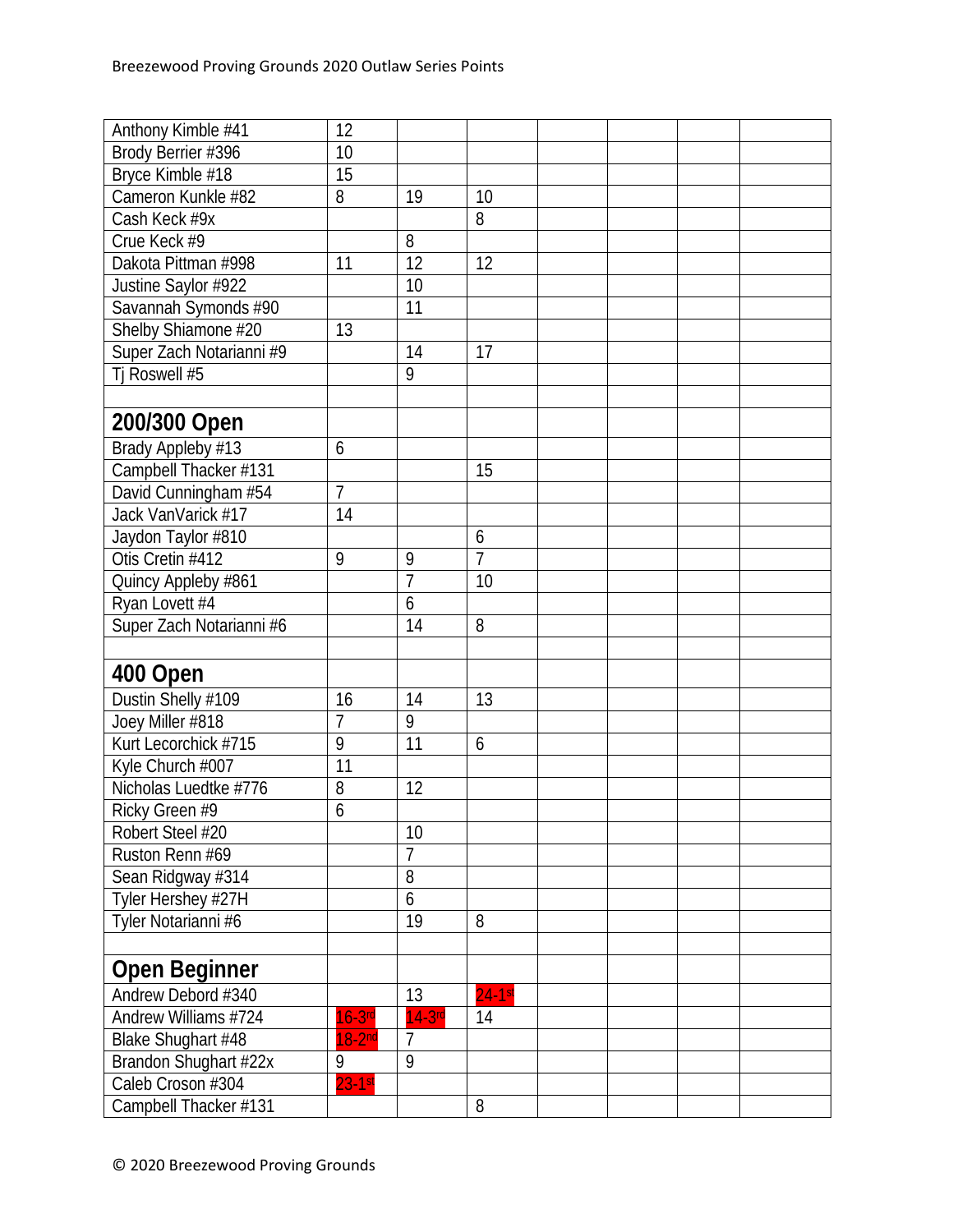| Brody Berrier #396<br>10<br>Bryce Kimble #18<br>15<br>Cameron Kunkle #82<br>8<br>19<br>10<br>Cash Keck #9x<br>8<br>8<br>Crue Keck #9<br>12<br>12<br>Dakota Pittman #998<br>11<br>10<br>Justine Saylor #922<br>Savannah Symonds #90<br>11<br>Shelby Shiamone #20<br>13<br>Super Zach Notarianni #9<br>14<br>17<br>Tj Roswell #5<br>9<br>200/300 Open<br>Brady Appleby #13<br>6<br>Campbell Thacker #131<br>15<br>$\overline{1}$<br>David Cunningham #54<br>Jack VanVarick #17<br>14<br>Jaydon Taylor #810<br>6<br>$\overline{7}$<br>Otis Cretin #412<br>9<br>9<br>$\overline{7}$<br>10<br>Quincy Appleby #861<br>Ryan Lovett #4<br>6<br>14<br>Super Zach Notarianni #6<br>8<br>400 Open<br>Dustin Shelly #109<br>13<br>16<br>14<br>$\overline{1}$<br>9<br>Joey Miller #818<br>Kurt Lecorchick #715<br>9<br>11<br>6<br>11<br>Kyle Church #007<br>Nicholas Luedtke #776<br>12<br>8<br>$\overline{6}$<br>Ricky Green #9<br>Robert Steel #20<br>10<br>Ruston Renn #69<br>$\overline{7}$<br>8<br>Sean Ridgway #314<br>6<br>Tyler Hershey #27H<br>19<br>Tyler Notarianni #6<br>8<br><b>Open Beginner</b><br>Andrew Debord #340<br>13<br>$24-1st$<br>Andrew Williams #724<br>$16-3$ rd<br>$14-3$ rd<br>14<br>Blake Shughart #48<br>$18-2nd$<br>$\overline{7}$<br>9<br>Brandon Shughart #22x<br>9<br>Caleb Croson #304<br>$23 - 1$ st | Anthony Kimble #41    | 12 |   |  |  |
|------------------------------------------------------------------------------------------------------------------------------------------------------------------------------------------------------------------------------------------------------------------------------------------------------------------------------------------------------------------------------------------------------------------------------------------------------------------------------------------------------------------------------------------------------------------------------------------------------------------------------------------------------------------------------------------------------------------------------------------------------------------------------------------------------------------------------------------------------------------------------------------------------------------------------------------------------------------------------------------------------------------------------------------------------------------------------------------------------------------------------------------------------------------------------------------------------------------------------------------------------------------------------------------------------------------------------|-----------------------|----|---|--|--|
|                                                                                                                                                                                                                                                                                                                                                                                                                                                                                                                                                                                                                                                                                                                                                                                                                                                                                                                                                                                                                                                                                                                                                                                                                                                                                                                              |                       |    |   |  |  |
|                                                                                                                                                                                                                                                                                                                                                                                                                                                                                                                                                                                                                                                                                                                                                                                                                                                                                                                                                                                                                                                                                                                                                                                                                                                                                                                              |                       |    |   |  |  |
|                                                                                                                                                                                                                                                                                                                                                                                                                                                                                                                                                                                                                                                                                                                                                                                                                                                                                                                                                                                                                                                                                                                                                                                                                                                                                                                              |                       |    |   |  |  |
|                                                                                                                                                                                                                                                                                                                                                                                                                                                                                                                                                                                                                                                                                                                                                                                                                                                                                                                                                                                                                                                                                                                                                                                                                                                                                                                              |                       |    |   |  |  |
|                                                                                                                                                                                                                                                                                                                                                                                                                                                                                                                                                                                                                                                                                                                                                                                                                                                                                                                                                                                                                                                                                                                                                                                                                                                                                                                              |                       |    |   |  |  |
|                                                                                                                                                                                                                                                                                                                                                                                                                                                                                                                                                                                                                                                                                                                                                                                                                                                                                                                                                                                                                                                                                                                                                                                                                                                                                                                              |                       |    |   |  |  |
|                                                                                                                                                                                                                                                                                                                                                                                                                                                                                                                                                                                                                                                                                                                                                                                                                                                                                                                                                                                                                                                                                                                                                                                                                                                                                                                              |                       |    |   |  |  |
|                                                                                                                                                                                                                                                                                                                                                                                                                                                                                                                                                                                                                                                                                                                                                                                                                                                                                                                                                                                                                                                                                                                                                                                                                                                                                                                              |                       |    |   |  |  |
|                                                                                                                                                                                                                                                                                                                                                                                                                                                                                                                                                                                                                                                                                                                                                                                                                                                                                                                                                                                                                                                                                                                                                                                                                                                                                                                              |                       |    |   |  |  |
|                                                                                                                                                                                                                                                                                                                                                                                                                                                                                                                                                                                                                                                                                                                                                                                                                                                                                                                                                                                                                                                                                                                                                                                                                                                                                                                              |                       |    |   |  |  |
|                                                                                                                                                                                                                                                                                                                                                                                                                                                                                                                                                                                                                                                                                                                                                                                                                                                                                                                                                                                                                                                                                                                                                                                                                                                                                                                              |                       |    |   |  |  |
|                                                                                                                                                                                                                                                                                                                                                                                                                                                                                                                                                                                                                                                                                                                                                                                                                                                                                                                                                                                                                                                                                                                                                                                                                                                                                                                              |                       |    |   |  |  |
|                                                                                                                                                                                                                                                                                                                                                                                                                                                                                                                                                                                                                                                                                                                                                                                                                                                                                                                                                                                                                                                                                                                                                                                                                                                                                                                              |                       |    |   |  |  |
|                                                                                                                                                                                                                                                                                                                                                                                                                                                                                                                                                                                                                                                                                                                                                                                                                                                                                                                                                                                                                                                                                                                                                                                                                                                                                                                              |                       |    |   |  |  |
|                                                                                                                                                                                                                                                                                                                                                                                                                                                                                                                                                                                                                                                                                                                                                                                                                                                                                                                                                                                                                                                                                                                                                                                                                                                                                                                              |                       |    |   |  |  |
|                                                                                                                                                                                                                                                                                                                                                                                                                                                                                                                                                                                                                                                                                                                                                                                                                                                                                                                                                                                                                                                                                                                                                                                                                                                                                                                              |                       |    |   |  |  |
|                                                                                                                                                                                                                                                                                                                                                                                                                                                                                                                                                                                                                                                                                                                                                                                                                                                                                                                                                                                                                                                                                                                                                                                                                                                                                                                              |                       |    |   |  |  |
|                                                                                                                                                                                                                                                                                                                                                                                                                                                                                                                                                                                                                                                                                                                                                                                                                                                                                                                                                                                                                                                                                                                                                                                                                                                                                                                              |                       |    |   |  |  |
|                                                                                                                                                                                                                                                                                                                                                                                                                                                                                                                                                                                                                                                                                                                                                                                                                                                                                                                                                                                                                                                                                                                                                                                                                                                                                                                              |                       |    |   |  |  |
|                                                                                                                                                                                                                                                                                                                                                                                                                                                                                                                                                                                                                                                                                                                                                                                                                                                                                                                                                                                                                                                                                                                                                                                                                                                                                                                              |                       |    |   |  |  |
|                                                                                                                                                                                                                                                                                                                                                                                                                                                                                                                                                                                                                                                                                                                                                                                                                                                                                                                                                                                                                                                                                                                                                                                                                                                                                                                              |                       |    |   |  |  |
|                                                                                                                                                                                                                                                                                                                                                                                                                                                                                                                                                                                                                                                                                                                                                                                                                                                                                                                                                                                                                                                                                                                                                                                                                                                                                                                              |                       |    |   |  |  |
|                                                                                                                                                                                                                                                                                                                                                                                                                                                                                                                                                                                                                                                                                                                                                                                                                                                                                                                                                                                                                                                                                                                                                                                                                                                                                                                              |                       |    |   |  |  |
|                                                                                                                                                                                                                                                                                                                                                                                                                                                                                                                                                                                                                                                                                                                                                                                                                                                                                                                                                                                                                                                                                                                                                                                                                                                                                                                              |                       |    |   |  |  |
|                                                                                                                                                                                                                                                                                                                                                                                                                                                                                                                                                                                                                                                                                                                                                                                                                                                                                                                                                                                                                                                                                                                                                                                                                                                                                                                              |                       |    |   |  |  |
|                                                                                                                                                                                                                                                                                                                                                                                                                                                                                                                                                                                                                                                                                                                                                                                                                                                                                                                                                                                                                                                                                                                                                                                                                                                                                                                              |                       |    |   |  |  |
|                                                                                                                                                                                                                                                                                                                                                                                                                                                                                                                                                                                                                                                                                                                                                                                                                                                                                                                                                                                                                                                                                                                                                                                                                                                                                                                              |                       |    |   |  |  |
|                                                                                                                                                                                                                                                                                                                                                                                                                                                                                                                                                                                                                                                                                                                                                                                                                                                                                                                                                                                                                                                                                                                                                                                                                                                                                                                              |                       |    |   |  |  |
|                                                                                                                                                                                                                                                                                                                                                                                                                                                                                                                                                                                                                                                                                                                                                                                                                                                                                                                                                                                                                                                                                                                                                                                                                                                                                                                              |                       |    |   |  |  |
|                                                                                                                                                                                                                                                                                                                                                                                                                                                                                                                                                                                                                                                                                                                                                                                                                                                                                                                                                                                                                                                                                                                                                                                                                                                                                                                              |                       |    |   |  |  |
|                                                                                                                                                                                                                                                                                                                                                                                                                                                                                                                                                                                                                                                                                                                                                                                                                                                                                                                                                                                                                                                                                                                                                                                                                                                                                                                              |                       |    |   |  |  |
|                                                                                                                                                                                                                                                                                                                                                                                                                                                                                                                                                                                                                                                                                                                                                                                                                                                                                                                                                                                                                                                                                                                                                                                                                                                                                                                              |                       |    |   |  |  |
|                                                                                                                                                                                                                                                                                                                                                                                                                                                                                                                                                                                                                                                                                                                                                                                                                                                                                                                                                                                                                                                                                                                                                                                                                                                                                                                              |                       |    |   |  |  |
|                                                                                                                                                                                                                                                                                                                                                                                                                                                                                                                                                                                                                                                                                                                                                                                                                                                                                                                                                                                                                                                                                                                                                                                                                                                                                                                              |                       |    |   |  |  |
|                                                                                                                                                                                                                                                                                                                                                                                                                                                                                                                                                                                                                                                                                                                                                                                                                                                                                                                                                                                                                                                                                                                                                                                                                                                                                                                              |                       |    |   |  |  |
|                                                                                                                                                                                                                                                                                                                                                                                                                                                                                                                                                                                                                                                                                                                                                                                                                                                                                                                                                                                                                                                                                                                                                                                                                                                                                                                              |                       |    |   |  |  |
|                                                                                                                                                                                                                                                                                                                                                                                                                                                                                                                                                                                                                                                                                                                                                                                                                                                                                                                                                                                                                                                                                                                                                                                                                                                                                                                              |                       |    |   |  |  |
|                                                                                                                                                                                                                                                                                                                                                                                                                                                                                                                                                                                                                                                                                                                                                                                                                                                                                                                                                                                                                                                                                                                                                                                                                                                                                                                              |                       |    |   |  |  |
|                                                                                                                                                                                                                                                                                                                                                                                                                                                                                                                                                                                                                                                                                                                                                                                                                                                                                                                                                                                                                                                                                                                                                                                                                                                                                                                              |                       |    |   |  |  |
|                                                                                                                                                                                                                                                                                                                                                                                                                                                                                                                                                                                                                                                                                                                                                                                                                                                                                                                                                                                                                                                                                                                                                                                                                                                                                                                              |                       |    |   |  |  |
|                                                                                                                                                                                                                                                                                                                                                                                                                                                                                                                                                                                                                                                                                                                                                                                                                                                                                                                                                                                                                                                                                                                                                                                                                                                                                                                              |                       |    |   |  |  |
|                                                                                                                                                                                                                                                                                                                                                                                                                                                                                                                                                                                                                                                                                                                                                                                                                                                                                                                                                                                                                                                                                                                                                                                                                                                                                                                              |                       |    |   |  |  |
|                                                                                                                                                                                                                                                                                                                                                                                                                                                                                                                                                                                                                                                                                                                                                                                                                                                                                                                                                                                                                                                                                                                                                                                                                                                                                                                              | Campbell Thacker #131 |    | 8 |  |  |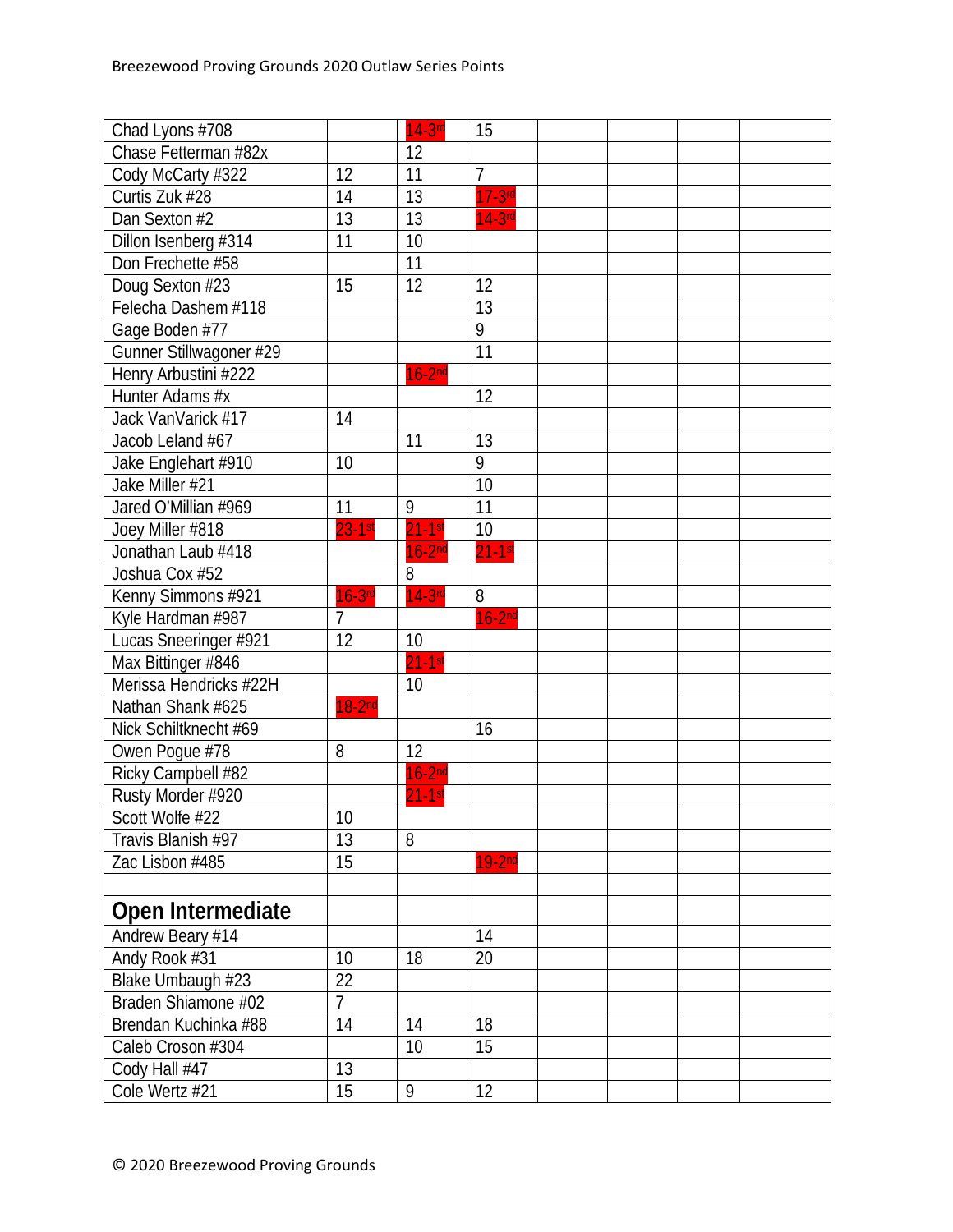| Chad Lyons #708         |                | $14-3$ rd   | 15              |  |  |
|-------------------------|----------------|-------------|-----------------|--|--|
| Chase Fetterman #82x    |                | 12          |                 |  |  |
| Cody McCarty #322       | 12             | 11          | $\overline{7}$  |  |  |
| Curtis Zuk #28          | 14             | 13          | $17-3$ rd       |  |  |
| Dan Sexton #2           | 13             | 13          | $14-3rd$        |  |  |
| Dillon Isenberg #314    | 11             | 10          |                 |  |  |
| Don Frechette #58       |                | 11          |                 |  |  |
| Doug Sexton #23         | 15             | 12          | 12              |  |  |
| Felecha Dashem #118     |                |             | 13              |  |  |
| Gage Boden #77          |                |             | $\overline{9}$  |  |  |
| Gunner Stillwagoner #29 |                |             | $\overline{11}$ |  |  |
| Henry Arbustini #222    |                | $16-2nd$    |                 |  |  |
| Hunter Adams #x         |                |             | 12              |  |  |
| Jack VanVarick #17      | 14             |             |                 |  |  |
| Jacob Leland #67        |                | 11          | 13              |  |  |
| Jake Englehart #910     | 10             |             | 9               |  |  |
| Jake Miller #21         |                |             | 10              |  |  |
| Jared O'Millian #969    | 11             | 9           | 11              |  |  |
| Joey Miller #818        | $23-1$ st      | $21-1$ st   | $\overline{10}$ |  |  |
| Jonathan Laub #418      |                | $16-2nd$    | $21 - 1$ st     |  |  |
| Joshua Cox #52          |                | 8           |                 |  |  |
| Kenny Simmons #921      | $16-3$ rd      | $14-3$ rd   | 8               |  |  |
| Kyle Hardman #987       | $\overline{7}$ |             | $16-2nd$        |  |  |
| Lucas Sneeringer #921   | 12             | 10          |                 |  |  |
| Max Bittinger #846      |                | $21 - 1$ st |                 |  |  |
| Merissa Hendricks #22H  |                | 10          |                 |  |  |
| Nathan Shank #625       | $18-2nd$       |             |                 |  |  |
| Nick Schiltknecht #69   |                |             | 16              |  |  |
| Owen Pogue #78          | 8              | 12          |                 |  |  |
| Ricky Campbell #82      |                | $16-2nd$    |                 |  |  |
| Rusty Morder #920       |                | $21-1$ st   |                 |  |  |
| Scott Wolfe #22         | 10             |             |                 |  |  |
| Travis Blanish #97      | 13             | 8           |                 |  |  |
| Zac Lisbon #485         | 15             |             | $19-2nd$        |  |  |
|                         |                |             |                 |  |  |
| Open Intermediate       |                |             |                 |  |  |
| Andrew Beary #14        |                |             | 14              |  |  |
| Andy Rook #31           | 10             | 18          | 20              |  |  |
| Blake Umbaugh #23       | 22             |             |                 |  |  |
| Braden Shiamone #02     | $\overline{7}$ |             |                 |  |  |
| Brendan Kuchinka #88    | 14             | 14          | 18              |  |  |
| Caleb Croson #304       |                | 10          | 15              |  |  |
| Cody Hall #47           | 13             |             |                 |  |  |
| Cole Wertz #21          | 15             | 9           | 12              |  |  |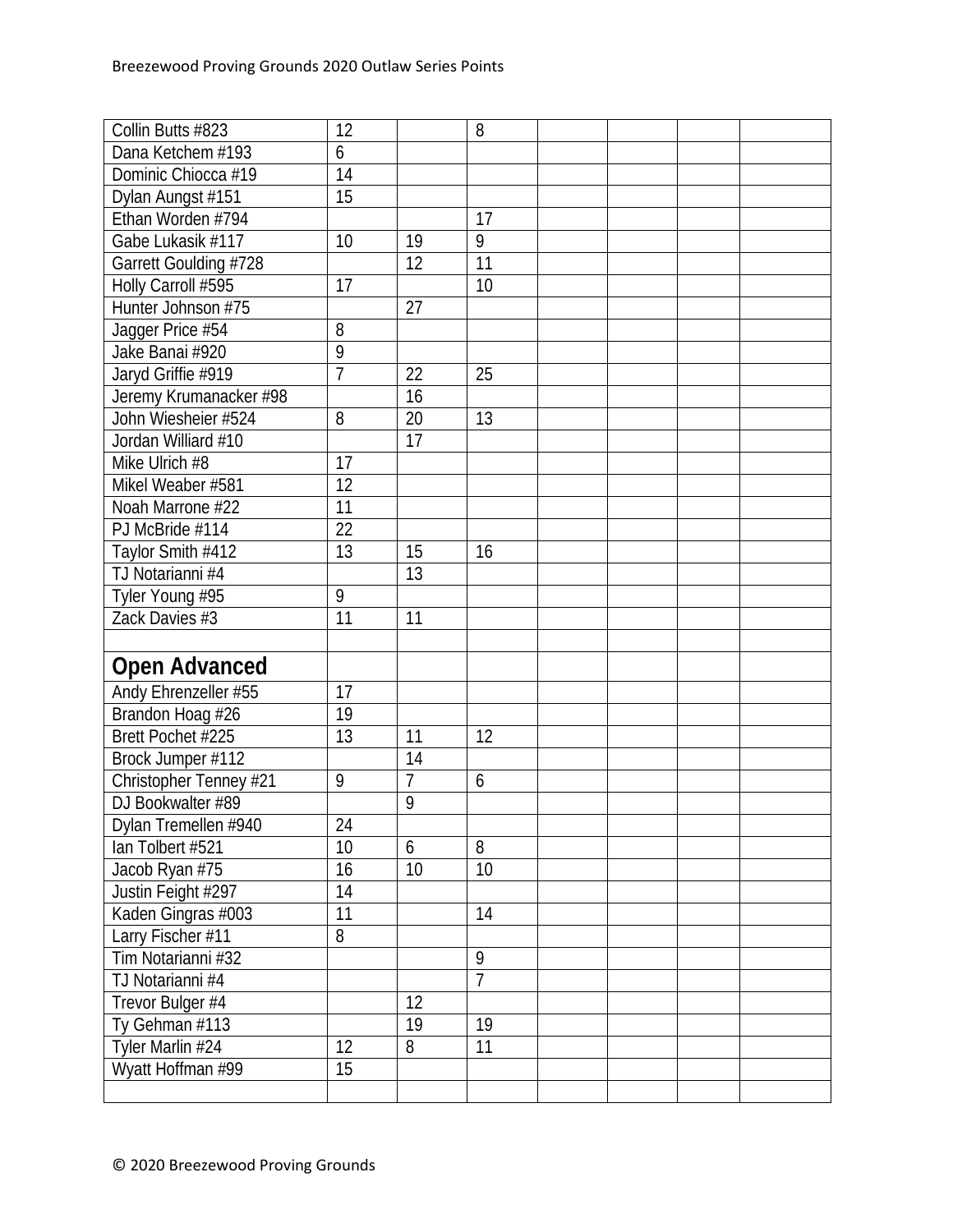| Collin Butts #823      | 12             |                | 8              |  |  |
|------------------------|----------------|----------------|----------------|--|--|
| Dana Ketchem #193      | 6              |                |                |  |  |
| Dominic Chiocca #19    | 14             |                |                |  |  |
| Dylan Aungst #151      | 15             |                |                |  |  |
| Ethan Worden #794      |                |                | 17             |  |  |
| Gabe Lukasik #117      | 10             | 19             | 9              |  |  |
| Garrett Goulding #728  |                | 12             | 11             |  |  |
| Holly Carroll #595     | 17             |                | 10             |  |  |
| Hunter Johnson #75     |                | 27             |                |  |  |
| Jagger Price #54       | 8              |                |                |  |  |
| Jake Banai #920        | 9              |                |                |  |  |
| Jaryd Griffie #919     | $\overline{1}$ | 22             | 25             |  |  |
| Jeremy Krumanacker #98 |                | 16             |                |  |  |
| John Wiesheier #524    | 8              | 20             | 13             |  |  |
| Jordan Williard #10    |                | 17             |                |  |  |
| Mike Ulrich #8         | 17             |                |                |  |  |
| Mikel Weaber #581      | 12             |                |                |  |  |
| Noah Marrone #22       | 11             |                |                |  |  |
| PJ McBride #114        | 22             |                |                |  |  |
| Taylor Smith #412      | 13             | 15             | 16             |  |  |
| TJ Notarianni #4       |                | 13             |                |  |  |
| Tyler Young #95        | 9              |                |                |  |  |
| Zack Davies $#3$       | 11             | 11             |                |  |  |
|                        |                |                |                |  |  |
| <b>Open Advanced</b>   |                |                |                |  |  |
| Andy Ehrenzeller #55   | 17             |                |                |  |  |
| Brandon Hoag #26       | 19             |                |                |  |  |
| Brett Pochet #225      | 13             | 11             | 12             |  |  |
| Brock Jumper #112      |                | 14             |                |  |  |
| Christopher Tenney #21 | 9              | $\overline{7}$ | 6              |  |  |
| DJ Bookwalter #89      |                | 9              |                |  |  |
| Dylan Tremellen #940   | 24             |                |                |  |  |
| lan Tolbert #521       | 10             | 6              | 8              |  |  |
| Jacob Ryan #75         | 16             | 10             | 10             |  |  |
| Justin Feight #297     | 14             |                |                |  |  |
| Kaden Gingras #003     | 11             |                | 14             |  |  |
| Larry Fischer #11      | 8              |                |                |  |  |
| Tim Notarianni #32     |                |                | 9              |  |  |
| TJ Notarianni #4       |                |                | $\overline{7}$ |  |  |
| Trevor Bulger #4       |                | 12             |                |  |  |
| Ty Gehman #113         |                | 19             | 19             |  |  |
| Tyler Marlin #24       | 12             | 8              | 11             |  |  |
| Wyatt Hoffman #99      | 15             |                |                |  |  |
|                        |                |                |                |  |  |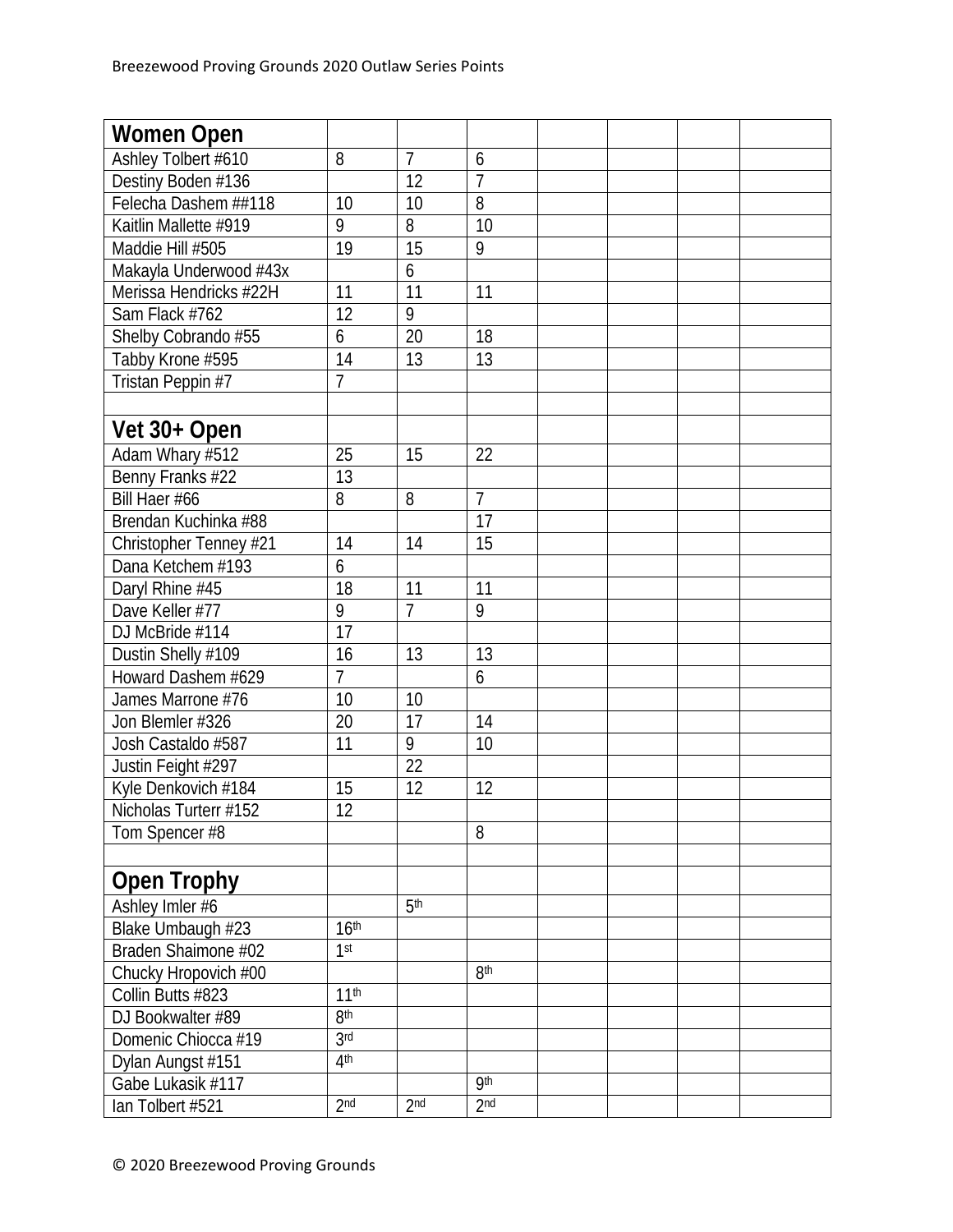| Women Open             |                  |                 |                 |  |  |
|------------------------|------------------|-----------------|-----------------|--|--|
| Ashley Tolbert #610    | 8                | $\overline{7}$  | 6               |  |  |
| Destiny Boden #136     |                  | 12              | $\overline{1}$  |  |  |
| Felecha Dashem ##118   | 10               | 10              | 8               |  |  |
| Kaitlin Mallette #919  | 9                | 8               | 10              |  |  |
| Maddie Hill #505       | 19               | $\overline{15}$ | 9               |  |  |
| Makayla Underwood #43x |                  | 6               |                 |  |  |
| Merissa Hendricks #22H | 11               | $\overline{11}$ | 11              |  |  |
| Sam Flack #762         | 12               | $\overline{9}$  |                 |  |  |
| Shelby Cobrando #55    | 6                | 20              | 18              |  |  |
| Tabby Krone #595       | 14               | 13              | 13              |  |  |
| Tristan Peppin #7      | $\overline{7}$   |                 |                 |  |  |
|                        |                  |                 |                 |  |  |
| Vet 30+ Open           |                  |                 |                 |  |  |
| Adam Whary #512        | 25               | 15              | 22              |  |  |
| Benny Franks #22       | 13               |                 |                 |  |  |
| Bill Haer #66          | 8                | 8               | $\overline{7}$  |  |  |
| Brendan Kuchinka #88   |                  |                 | $\overline{17}$ |  |  |
| Christopher Tenney #21 | 14               | 14              | 15              |  |  |
| Dana Ketchem #193      | 6                |                 |                 |  |  |
| Daryl Rhine #45        | 18               | 11              | 11              |  |  |
| Dave Keller #77        | 9                | $\overline{7}$  | 9               |  |  |
| DJ McBride #114        | 17               |                 |                 |  |  |
| Dustin Shelly #109     | 16               | 13              | 13              |  |  |
| Howard Dashem #629     | $\overline{7}$   |                 | 6               |  |  |
| James Marrone #76      | 10               | 10              |                 |  |  |
| Jon Blemler #326       | 20               | $\overline{17}$ | 14              |  |  |
| Josh Castaldo #587     | 11               | $\overline{9}$  | 10              |  |  |
| Justin Feight #297     |                  | 22              |                 |  |  |
| Kyle Denkovich #184    | 15               | 12              | 12              |  |  |
| Nicholas Turterr #152  | $\overline{12}$  |                 |                 |  |  |
| Tom Spencer #8         |                  |                 | 8               |  |  |
|                        |                  |                 |                 |  |  |
| <b>Open Trophy</b>     |                  |                 |                 |  |  |
| Ashley Imler #6        |                  | 5 <sup>th</sup> |                 |  |  |
| Blake Umbaugh #23      | 16 <sup>th</sup> |                 |                 |  |  |
| Braden Shaimone #02    | 1 <sup>st</sup>  |                 |                 |  |  |
| Chucky Hropovich #00   |                  |                 | 8 <sup>th</sup> |  |  |
| Collin Butts #823      | 11 <sup>th</sup> |                 |                 |  |  |
| DJ Bookwalter #89      | 8 <sup>th</sup>  |                 |                 |  |  |
| Domenic Chiocca #19    | 3 <sub>rd</sub>  |                 |                 |  |  |
| Dylan Aungst #151      | 4 <sup>th</sup>  |                 |                 |  |  |
| Gabe Lukasik #117      |                  |                 | <b>9th</b>      |  |  |
| lan Tolbert #521       | 2 <sub>nd</sub>  | 2 <sub>nd</sub> | 2 <sub>nd</sub> |  |  |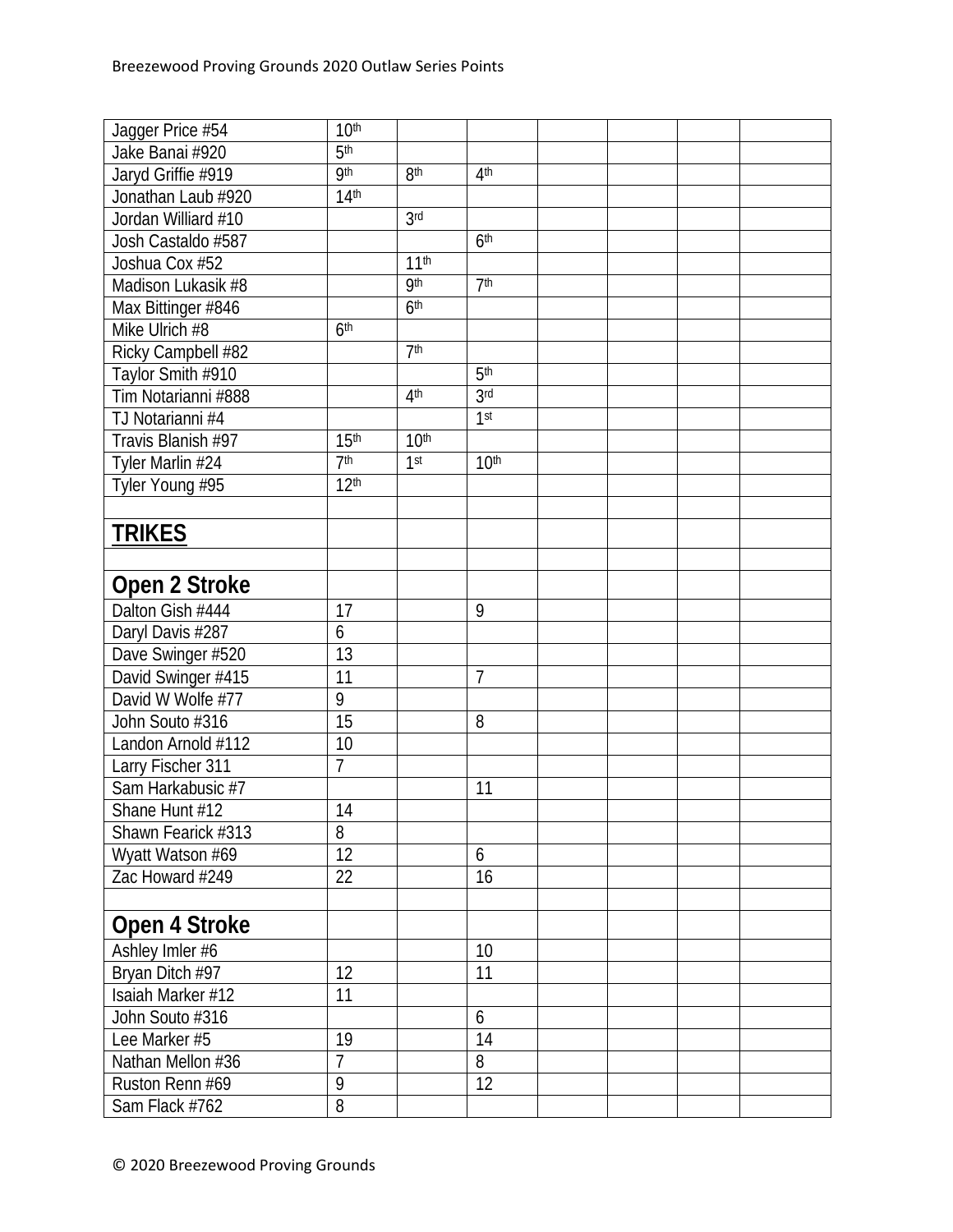| Jagger Price #54    | 10 <sup>th</sup> |                  |                  |  |  |
|---------------------|------------------|------------------|------------------|--|--|
| Jake Banai #920     | 5 <sup>th</sup>  |                  |                  |  |  |
| Jaryd Griffie #919  | qth              | 8 <sup>th</sup>  | 4 <sup>th</sup>  |  |  |
| Jonathan Laub #920  | 14 <sup>th</sup> |                  |                  |  |  |
| Jordan Williard #10 |                  | 3 <sub>rd</sub>  |                  |  |  |
| Josh Castaldo #587  |                  |                  | 6 <sup>th</sup>  |  |  |
| Joshua Cox #52      |                  | 11 <sup>th</sup> |                  |  |  |
| Madison Lukasik #8  |                  | <b>9th</b>       | 7 <sup>th</sup>  |  |  |
| Max Bittinger #846  |                  | 6 <sup>th</sup>  |                  |  |  |
| Mike Ulrich #8      | 6 <sup>th</sup>  |                  |                  |  |  |
| Ricky Campbell #82  |                  | 7 <sup>th</sup>  |                  |  |  |
| Taylor Smith #910   |                  |                  | 5 <sup>th</sup>  |  |  |
| Tim Notarianni #888 |                  | 4 <sup>th</sup>  | 3 <sub>rd</sub>  |  |  |
| TJ Notarianni #4    |                  |                  | 1st              |  |  |
| Travis Blanish #97  | 15 <sup>th</sup> | 10 <sup>th</sup> |                  |  |  |
| Tyler Marlin #24    | 7 <sup>th</sup>  | 1 <sup>st</sup>  | 10 <sup>th</sup> |  |  |
| Tyler Young #95     | 12 <sup>th</sup> |                  |                  |  |  |
|                     |                  |                  |                  |  |  |
| <b>TRIKES</b>       |                  |                  |                  |  |  |
|                     |                  |                  |                  |  |  |
|                     |                  |                  |                  |  |  |
| Open 2 Stroke       |                  |                  |                  |  |  |
| Dalton Gish #444    | 17               |                  | 9                |  |  |
| Daryl Davis #287    | 6                |                  |                  |  |  |
| Dave Swinger #520   | 13               |                  |                  |  |  |
| David Swinger #415  | 11               |                  | 7                |  |  |
| David W Wolfe #77   | 9                |                  |                  |  |  |
| John Souto #316     | 15               |                  | 8                |  |  |
| Landon Arnold #112  | 10               |                  |                  |  |  |
| Larry Fischer 311   | 7                |                  |                  |  |  |
| Sam Harkabusic #7   |                  |                  | 11               |  |  |
| Shane Hunt #12      | 14               |                  |                  |  |  |
| Shawn Fearick #313  | 8                |                  |                  |  |  |
| Wyatt Watson #69    | 12               |                  | 6                |  |  |
| Zac Howard #249     | 22               |                  | 16               |  |  |
|                     |                  |                  |                  |  |  |
| Open 4 Stroke       |                  |                  |                  |  |  |
| Ashley Imler #6     |                  |                  | 10               |  |  |
| Bryan Ditch #97     | 12               |                  | 11               |  |  |
| Isaiah Marker #12   | 11               |                  |                  |  |  |
| John Souto #316     |                  |                  | 6                |  |  |
| Lee Marker #5       | 19               |                  | 14               |  |  |
| Nathan Mellon #36   | $\overline{7}$   |                  | 8                |  |  |
| Ruston Renn #69     | 9                |                  | 12               |  |  |
| Sam Flack #762      | 8                |                  |                  |  |  |
|                     |                  |                  |                  |  |  |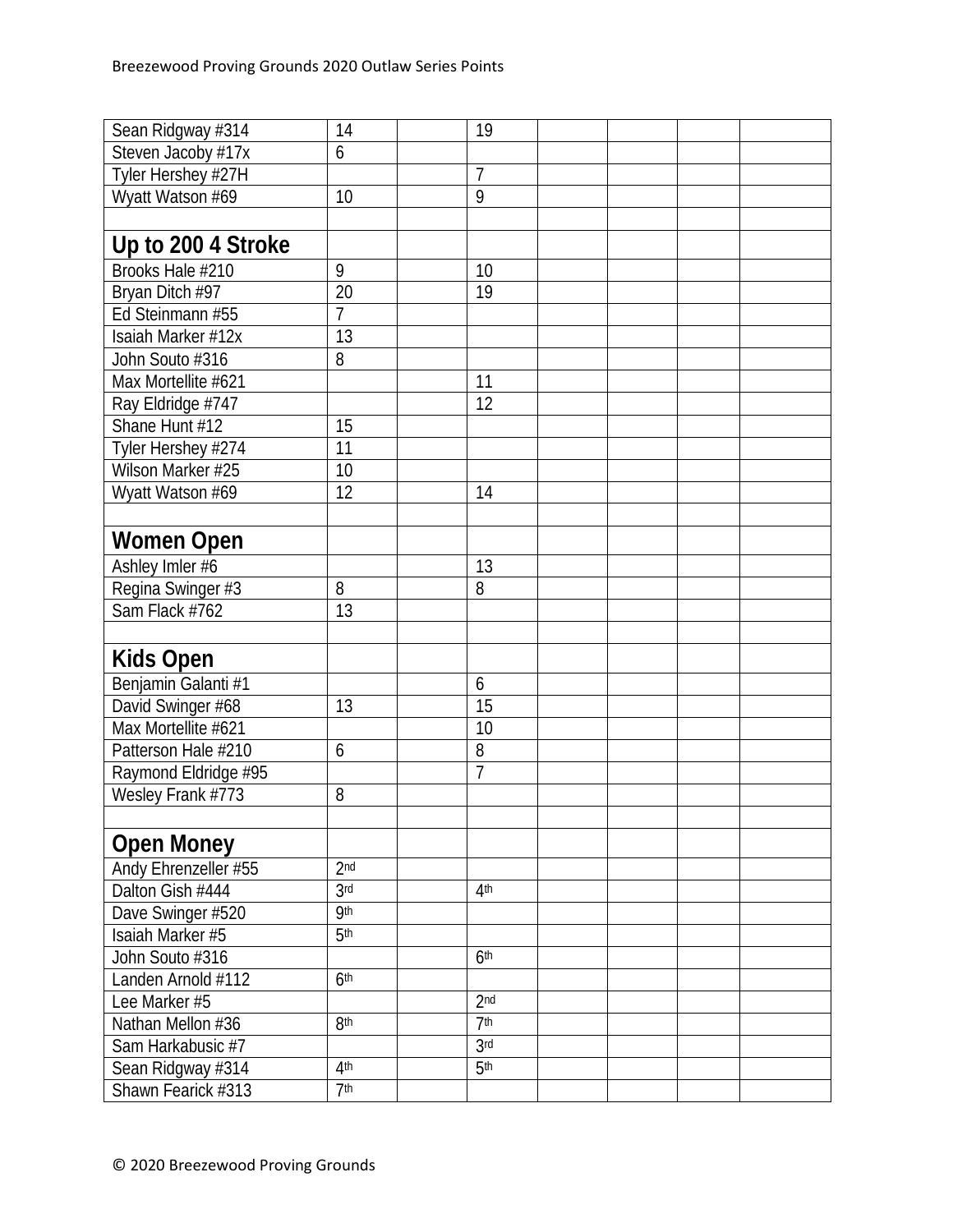| Sean Ridgway #314    | 14              | 19              |  |  |
|----------------------|-----------------|-----------------|--|--|
| Steven Jacoby #17x   | 6               |                 |  |  |
| Tyler Hershey #27H   |                 | $\overline{7}$  |  |  |
| Wyatt Watson #69     | 10              | 9               |  |  |
|                      |                 |                 |  |  |
| Up to 200 4 Stroke   |                 |                 |  |  |
| Brooks Hale #210     | 9               | 10              |  |  |
| Bryan Ditch #97      | 20              | 19              |  |  |
| Ed Steinmann #55     | $\overline{7}$  |                 |  |  |
| Isaiah Marker #12x   | 13              |                 |  |  |
| John Souto #316      | 8               |                 |  |  |
| Max Mortellite #621  |                 | 11              |  |  |
| Ray Eldridge #747    |                 | 12              |  |  |
| Shane Hunt #12       | 15              |                 |  |  |
| Tyler Hershey #274   | 11              |                 |  |  |
| Wilson Marker #25    | 10              |                 |  |  |
| Wyatt Watson #69     | 12              | 14              |  |  |
|                      |                 |                 |  |  |
| Women Open           |                 |                 |  |  |
| Ashley Imler #6      |                 | 13              |  |  |
| Regina Swinger #3    | 8               | 8               |  |  |
| Sam Flack #762       | 13              |                 |  |  |
|                      |                 |                 |  |  |
| <b>Kids Open</b>     |                 |                 |  |  |
| Benjamin Galanti #1  |                 | 6               |  |  |
| David Swinger #68    | 13              | 15              |  |  |
| Max Mortellite #621  |                 | 10              |  |  |
| Patterson Hale #210  | 6               | 8               |  |  |
| Raymond Eldridge #95 |                 | $\overline{1}$  |  |  |
| Wesley Frank #773    | 8               |                 |  |  |
|                      |                 |                 |  |  |
| <b>Open Money</b>    |                 |                 |  |  |
| Andy Ehrenzeller #55 | 2 <sub>nd</sub> |                 |  |  |
| Dalton Gish #444     | 3rd             | 4 <sup>th</sup> |  |  |
| Dave Swinger #520    | <b>g</b> th     |                 |  |  |
| Isaiah Marker #5     | 5 <sup>th</sup> |                 |  |  |
| John Souto #316      |                 | 6 <sup>th</sup> |  |  |
| Landen Arnold #112   | 6 <sup>th</sup> |                 |  |  |
| Lee Marker #5        |                 | 2 <sub>nd</sub> |  |  |
| Nathan Mellon #36    | 8 <sup>th</sup> | 7 <sup>th</sup> |  |  |
| Sam Harkabusic #7    |                 | 3 <sup>rd</sup> |  |  |
| Sean Ridgway #314    | 4 <sup>th</sup> | 5 <sup>th</sup> |  |  |
| Shawn Fearick #313   | 7 <sup>th</sup> |                 |  |  |